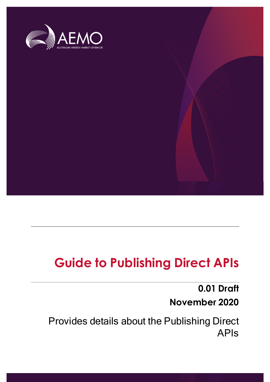

# **Guide to Publishing Direct APIs**

**0.01 Draft November 2020**

Provides details about the Publishing Direct APIs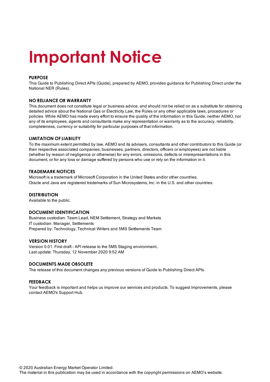# **Important Notice**

#### **PURPOSE**

This Guide to Publishing Direct APIs (Guide), prepared by AEMO, provides guidance for Publishing Direct under the National NER (Rules).

#### **NO RELIANCE OR WARRANTY**

This document does not constitute legal or business advice, and should not be relied on as a substitute for obtaining detailed advice about the National Gas or Electricity Law, the Rules or any other applicable laws, procedures or policies. While AEMO has made every effort to ensure the quality of the information in this Guide, neither AEMO, nor any of its employees, agents and consultants make any representation or warranty as to the accuracy, reliability, completeness, currency or suitability for particular purposes of that information.

#### **LIMITATION OF LIABILITY**

To the maximum extent permitted by law, AEMO and its advisers, consultants and other contributors to this Guide (or their respective associated companies, businesses, partners, directors, officers or employees) are not liable (whether by reason of negligence or otherwise) for any errors, omissions, defects or misrepresentations in this document, or for any loss or damage suffered by persons who use or rely on the information in it.

#### **TRADEMARK NOTICES**

Microsoft is a trademark of Microsoft Corporation in the United States and/or other countries. Oracle and Java are registered trademarks of Sun Microsystems, Inc. in the U.S. and other countries.

#### **DISTRIBUTION**

Available to the public.

#### **DOCUMENT IDENTIFICATION**

Business custodian: Team Lead, NEM Settlement, Strategy and Markets IT custodian: Manager, Settlements Prepared by: Technology, Technical Writers and 5MS Settlements Team

#### **VERSION HISTORY**

Version 0.01. First draft - API release to the 5MS Staging environment.. Last update: Thursday, 12 November 2020 9:52 AM

#### **DOCUMENTS MADE OBSOLETE**

The release of this document changes any previous versions of Guide to Publishing Direct APIs.

#### **FEEDBACK**

Your feedback is important and helps us improve our services and products. To suggest improvements, please contact AEMO's Support Hub.

© 2020 Australian Energy Market Operator Limited.

The material in this publication may be used in accordance with the copyright permissions on AEMO's website.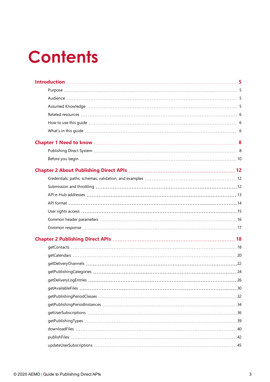# **Contents**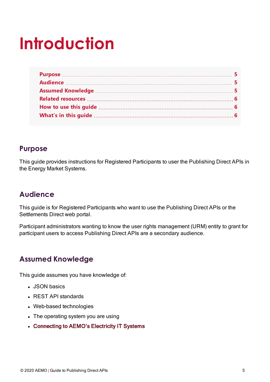# <span id="page-4-0"></span>**Introduction**

### <span id="page-4-1"></span>**Purpose**

This guide provides instructions for Registered Participants to user the Publishing Direct APIs in the Energy Market Systems.

# <span id="page-4-2"></span>**Audience**

This guide is for Registered Participants who want to use the Publishing Direct APIs or the Settlements Direct web portal.

Participant administrators wanting to know the user rights management (URM) entity to grant for participant users to access Publishing Direct APIs are a secondary audience.

# <span id="page-4-3"></span>**Assumed Knowledge**

This guide assumes you have knowledge of:

- <sup>l</sup> JSON basics
- REST API standards
- Web-based technologies
- The operating system you are using
- Connecting to AEMO's Electricity IT Systems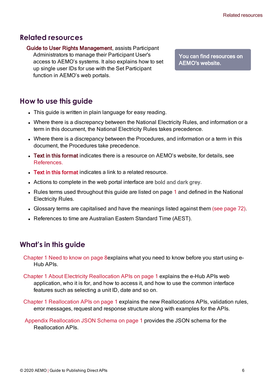### <span id="page-5-0"></span>**Related resources**

Guide to User Rights Management, assists Participant Administrators to manage their Participant User's access to AEMO's systems. It also explains how to set up single user IDs for use with the Set Participant function in AEMO's web portals.

You can find resources on AEMO's website.

## <span id="page-5-1"></span>**How to use this guide**

- This guide is written in plain language for easy reading.
- Where there is a discrepancy between the National Electricity Rules, and information or a term in this document, the National Electricity Rules takes precedence.
- Where there is a discrepancy between the Procedures, and information or a term in this document, the Procedures take precedence.
- Text in this format indicates there is a resource on AEMO's website, for details, see References.
- Text in this format indicates a link to a related resource.
- Actions to complete in the web portal interface are bold and dark grey.
- Rules terms used throughout this guide are listed on page 1 and defined in the National Electricity Rules.
- Glossary terms are capitalised and have the meanings listed against them (see [page](#page-71-0) 72).
- References to time are Australian Eastern Standard Time (AEST).

## <span id="page-5-2"></span>**What's in this guide**

- [Chapter](#page-7-0) 1 Need to know on page 8explains what you need to know before you start using e-Hub APIs.
- Chapter 1 About Electricity Reallocation APIs on page 1 explains the e-Hub APIs web application, who it is for, and how to access it, and how to use the common interface features such as selecting a unit ID, date and so on.
- Chapter 1 Reallocation APIs on page 1 explains the new Reallocations APIs, validation rules, error messages, request and response structure along with examples for the APIs.
- Appendix Reallocation JSON Schema on page 1 provides the JSON schema for the Reallocation APIs.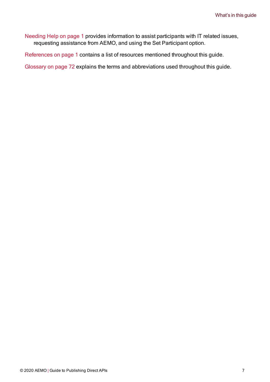Needing Help on page 1 provides information to assist participants with IT related issues, requesting assistance from AEMO, and using the Set Participant option.

References on page 1 contains a list of resources mentioned throughout this guide.

[Glossary](#page-71-0) on page 72 explains the terms and abbreviations used throughout this guide.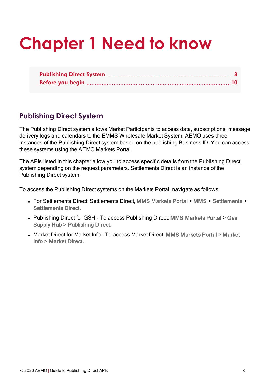# <span id="page-7-0"></span>**Chapter 1 Need to know**

# <span id="page-7-1"></span>**Publishing Direct System**

The Publishing Direct system allows Market Participants to access data, subscriptions, message delivery logs and calendars to the EMMS Wholesale Market System. AEMO uses three instances of the Publishing Direct system based on the publishing Business ID. You can access these systems using the AEMO Markets Portal.

The APIs listed in this chapter allow you to access specific details from the Publishing Direct system depending on the request parameters. Settlements Direct is an instance of the Publishing Direct system.

To access the Publishing Direct systems on the Markets Portal, navigate as follows:

- For Settlements Direct: Settlements Direct, MMS Markets Portal > MMS > Settlements > Settlements Direct.
- Publishing Direct for GSH To access Publishing Direct, MMS Markets Portal > Gas Supply Hub > Publishing Direct.
- Market Direct for Market Info To access Market Direct, MMS Markets Portal > Market Info > Market Direct.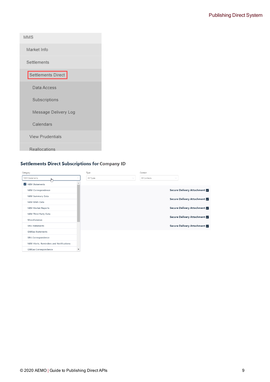| MMS                     |
|-------------------------|
| Market Info             |
| Settlements             |
| Settlements Direct      |
| Data Access             |
| Subscriptions           |
| Message Delivery Log    |
| Calendars               |
| <b>View Prudentials</b> |
| Reallocations           |

### **Settlements Direct Subscriptions for Company ID**

| Category                                | Type      |        | Contact      |        |                              |
|-----------------------------------------|-----------|--------|--------------|--------|------------------------------|
| NEM Statements<br>∧                     | All Types | $\vee$ | All Contacts | $\vee$ |                              |
| V NEM Statements                        |           |        |              |        |                              |
| NEM Correspondence                      |           |        |              |        | Secure Delivery Attachment V |
| NEM Summary Data                        |           |        |              |        | Secure Delivery Attachment v |
| <b>NEM MMS Data</b>                     |           |        |              |        |                              |
| <b>NEM Market Reports</b>               |           |        |              |        | Secure Delivery Attachment   |
| NEM Third Party Data                    |           |        |              |        |                              |
| Miscellaneous                           |           |        |              |        | Secure Delivery Attachment V |
| <b>SRA Statements</b>                   |           |        |              |        | Secure Delivery Attachment V |
| OldGas Statements                       |           |        |              |        |                              |
| SRA Correspondence                      |           |        |              |        |                              |
| NEM Alerts, Reminders and Notifications |           |        |              |        |                              |
| QldGas Correspondence                   |           |        |              |        |                              |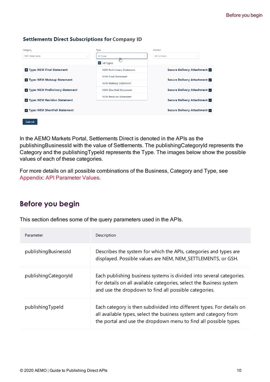| Category                               |              | Type                             | Contact      |                            |
|----------------------------------------|--------------|----------------------------------|--------------|----------------------------|
| <b>NEM Statements</b>                  | $\checkmark$ | All Types<br>∧                   | All Contacts | $\checkmark$               |
|                                        |              | All Types                        |              |                            |
| <b>Type: NEM Final Statement</b>       |              | <b>NEM Preliminary Statement</b> |              | Secure Delivery Attachment |
| <b>Type: NEM Makeup Statement</b>      |              | <b>NEM Final Statement</b>       |              | Secure Delivery Attachment |
|                                        |              | NEM Makeup Statement             |              |                            |
| <b>Type: NEM Preliminary Statement</b> |              | <b>NEM ShortFall Statement</b>   |              | Secure Delivery Attachment |
|                                        |              | <b>NEM Revision Statement</b>    |              |                            |
| <b>Type: NEM Revision Statement</b>    |              |                                  |              | Secure Delivery Attachment |
| <b>Type: NEM ShortFall Statement</b>   |              |                                  |              | Secure Delivery Attachment |
| Submit                                 |              |                                  |              |                            |

#### **Settlements Direct Subscriptions for Company ID**

In the AEMO Markets Portal, Settlements Direct is denoted in the APIs as the publishingBusinessId with the value of Settlements. The publishingCategoryId represents the Category and the publishingTypeId represents the Type. The images below show the possible values of each of these categories.

For more details on all possible combinations of the Business, Category and Type, see Appendix: API [Parameter](#page-51-0) Values.

# <span id="page-9-0"></span>**Before you begin**

This section defines some of the query parameters used in the APIs.

| Parameter             | Description                                                                                                                                                                                                    |
|-----------------------|----------------------------------------------------------------------------------------------------------------------------------------------------------------------------------------------------------------|
| publishing BusinessId | Describes the system for which the APIs, categories and types are<br>displayed. Possible values are NEM, NEM_SETTLEMENTS, or GSH.                                                                              |
| publishingCategoryId  | Each publishing business systems is divided into several categories.<br>For details on all available categories, select the Business system<br>and use the dropdown to find all possible categories.           |
| publishing Typeld     | Each category is then subdivided into different types. For details on<br>all available types, select the business system and category from<br>the portal and use the dropdown menu to find all possible types. |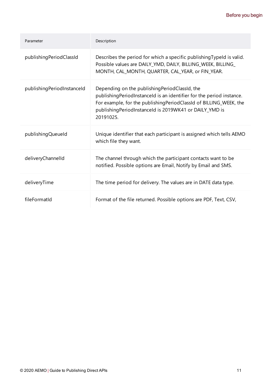### Before you begin

| Parameter                  | Description                                                                                                                                                                                                                                                             |
|----------------------------|-------------------------------------------------------------------------------------------------------------------------------------------------------------------------------------------------------------------------------------------------------------------------|
| publishingPeriodClassId    | Describes the period for which a specific publishing Typeld is valid.<br>Possible values are DAILY_YMD, DAILY, BILLING_WEEK, BILLING_<br>MONTH, CAL_MONTH, QUARTER, CAL_YEAR, or FIN_YEAR.                                                                              |
| publishingPeriodInstanceId | Depending on the publishing Period Classid, the<br>publishing Period Instanceld is an identifier for the period instance.<br>For example, for the publishing Period Classid of BILLING_WEEK, the<br>publishingPeriodInstanceId is 2019WK41 or DAILY_YMD is<br>20191025. |
| publishingQueueld          | Unique identifier that each participant is assigned which tells AEMO<br>which file they want.                                                                                                                                                                           |
| deliveryChannelId          | The channel through which the participant contacts want to be<br>notified. Possible options are Email, Notify by Email and SMS.                                                                                                                                         |
| deliveryTime               | The time period for delivery. The values are in DATE data type.                                                                                                                                                                                                         |
| fileFormatId               | Format of the file returned. Possible options are PDF, Text, CSV,                                                                                                                                                                                                       |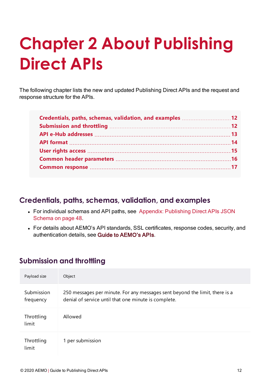# <span id="page-11-0"></span>**Chapter 2 About Publishing Direct APIs**

The following chapter lists the new and updated Publishing Direct APIs and the request and response structure for the APIs.

| Credentials, paths, schemas, validation, and examples 12 |  |
|----------------------------------------------------------|--|
|                                                          |  |
|                                                          |  |
|                                                          |  |
|                                                          |  |
|                                                          |  |
|                                                          |  |
|                                                          |  |

## <span id="page-11-1"></span>**Credentials, paths, schemas, validation, and examples**

- For individual schemas and API paths, see Appendix: [Publishing](#page-47-0) Direct APIs JSON Schema on [page 48.](#page-47-0)
- For details about AEMO's API standards, SSL certificates, response codes, security, and authentication details, see Guide to AEMO's APIs.

| Payload size            | Object                                                                                                                              |
|-------------------------|-------------------------------------------------------------------------------------------------------------------------------------|
| Submission<br>frequency | 250 messages per minute. For any messages sent beyond the limit, there is a<br>denial of service until that one minute is complete. |
| Throttling<br>limit     | Allowed                                                                                                                             |
| Throttling<br>limit     | 1 per submission                                                                                                                    |

# <span id="page-11-2"></span>**Submission and throttling**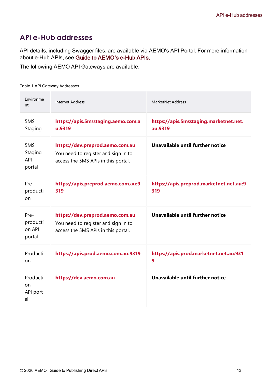# <span id="page-12-0"></span>**API e-Hub addresses**

API details, including Swagger files, are available via AEMO's API Portal. For more information about e-Hub APIs, see Guide to AEMO's e-Hub APIs.

The following AEMO API Gateways are available:

#### Table 1 API Gateway Addresses

| Environme<br>nt                         | <b>Internet Address</b>                                                                                       | MarketNet Address                                 |
|-----------------------------------------|---------------------------------------------------------------------------------------------------------------|---------------------------------------------------|
| 5MS<br>Staging                          | https://apis.5msstaging.aemo.com.a<br>u:9319                                                                  | https://apis.5msstaging.marketnet.net.<br>au:9319 |
| 5MS<br>Staging<br><b>API</b><br>portal  | https://dev.preprod.aemo.com.au<br>You need to register and sign in to<br>access the 5MS APIs in this portal. | Unavailable until further notice                  |
| Pre-<br>producti<br>on                  | https://apis.preprod.aemo.com.au:9<br>319                                                                     | https://apis.preprod.marketnet.net.au:9<br>319    |
| Pre-<br>producti<br>on API<br>portal    | https://dev.preprod.aemo.com.au<br>You need to register and sign in to<br>access the 5MS APIs in this portal. | Unavailable until further notice                  |
| Producti<br>on.                         | https://apis.prod.aemo.com.au:9319                                                                            | https://apis.prod.marketnet.net.au:931<br>9       |
| Producti<br><b>on</b><br>API port<br>al | https://dev.aemo.com.au                                                                                       | Unavailable until further notice                  |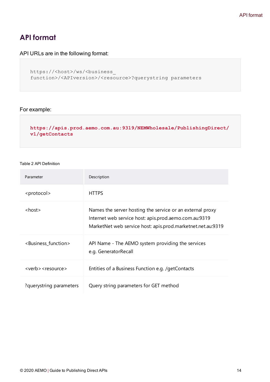# <span id="page-13-0"></span>**API format**

#### API URLs are in the following format:

```
https://<host>/ws/<br/>business
function>/<APIversion>/<resource>?querystring parameters
```
#### For example:

**[https://apis.prod.aemo.com.au:9319/NEMWholesale/PublishingDirect/](https://apis.prod.aemo.com.au:9319/ws/NEMWholesale/reallocations/v1/submitReallocations) [v1/getContacts](https://apis.prod.aemo.com.au:9319/ws/NEMWholesale/reallocations/v1/submitReallocations)**

#### Table 2 API Definition

| Parameter                           | Description                                                                                                                                                                       |
|-------------------------------------|-----------------------------------------------------------------------------------------------------------------------------------------------------------------------------------|
| <protocol></protocol>               | <b>HTTPS</b>                                                                                                                                                                      |
| <host></host>                       | Names the server hosting the service or an external proxy<br>Internet web service host: apis.prod.aemo.com.au:9319<br>MarketNet web service host: apis.prod.marketnet.net.au:9319 |
| <business function=""></business>   | API Name - The AEMO system providing the services<br>e.g. GeneratorRecall                                                                                                         |
| <verb> <resource></resource></verb> | Entities of a Business Function e.g. / getContacts                                                                                                                                |
| ?querystring parameters             | Query string parameters for GET method                                                                                                                                            |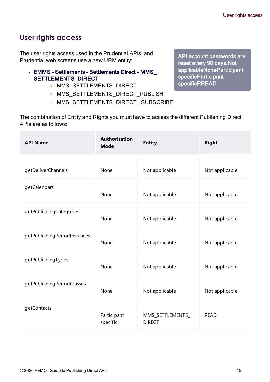## <span id="page-14-0"></span>**User rights access**

The user rights access used in the Prudential APIs, and Prudential web screens use a new URM entity:

- EMMS Settlements Settlements Direct MMS SETTLEMENTS\_DIRECT
	- <sup>o</sup> MMS\_SETTLEMENTS\_DIRECT
	- <sup>o</sup> MMS\_SETTLEMENTS\_DIRECT\_PUBLISH
	- <sup>o</sup> MMS\_SETTLEMENTS\_DIRECT\_ SUBSCRIBE

API account passwords are reset every 90 days.Not applicableNoneParticipant **specificParticipant** specificRREAD

The combination of Entity and Rights you must have to access the different Publishing Direct APIs are as follows:

| <b>API Name</b>              | <b>Authorisation</b><br><b>Mode</b> | <b>Entity</b>                     | <b>Right</b>   |
|------------------------------|-------------------------------------|-----------------------------------|----------------|
| getDeliverChannels           | None                                | Not applicable                    | Not applicable |
| getCalendars                 | None                                | Not applicable                    | Not applicable |
| getPublishingCategories      | None                                | Not applicable                    | Not applicable |
| getPublishingPeriodInstances | None                                | Not applicable                    | Not applicable |
| getPublishingTypes           | None                                | Not applicable                    | Not applicable |
| getPublishingPeriodClasses   | None                                | Not applicable                    | Not applicable |
| getContacts                  | Participant<br>specific             | MMS_SETTLEMENTS_<br><b>DIRECT</b> | <b>READ</b>    |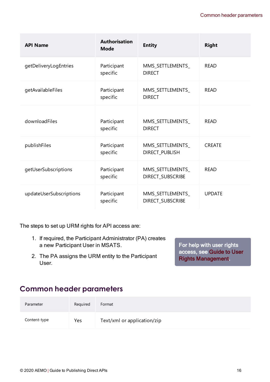| <b>API Name</b>         | <b>Authorisation</b><br><b>Mode</b> | <b>Entity</b>                        | <b>Right</b>  |
|-------------------------|-------------------------------------|--------------------------------------|---------------|
| getDeliveryLogEntries   | Participant<br>specific             | MMS_SETTLEMENTS_<br><b>DIRECT</b>    | <b>READ</b>   |
| getAvailableFiles       | Participant<br>specific             | MMS_SETTLEMENTS_<br><b>DIRECT</b>    | <b>READ</b>   |
| downloadFiles           | Participant<br>specific             | MMS_SETTLEMENTS_<br><b>DIRECT</b>    | <b>READ</b>   |
| publishFiles            | Participant<br>specific             | MMS_SETTLEMENTS_<br>DIRECT_PUBLISH   | <b>CREATE</b> |
| getUserSubscriptions    | Participant<br>specific             | MMS_SETTLEMENTS_<br>DIRECT_SUBSCRIBE | <b>READ</b>   |
| updateUserSubscriptions | Participant<br>specific             | MMS_SETTLEMENTS_<br>DIRECT_SUBSCRIBE | <b>UPDATE</b> |

The steps to set up URM rights for API access are:

- 1. If required, the Participant Administrator (PA) creates a new Participant User in MSATS.
- 2. The PA assigns the URM entity to the Participant User.

For help with user rights access, see Guide to User Rights Management.

# <span id="page-15-0"></span>**Common header parameters**

| Parameter    | Required | Format                      |
|--------------|----------|-----------------------------|
| Content-type | Yes      | Text/xml or application/zip |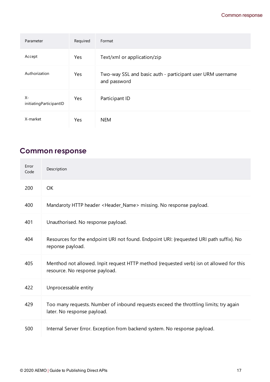| Parameter                       | Required | Format                                                                     |
|---------------------------------|----------|----------------------------------------------------------------------------|
| Accept                          | Yes      | Text/xml or application/zip                                                |
| Authorization                   | Yes      | Two-way SSL and basic auth - participant user URM username<br>and password |
| $X-$<br>initiatingParticipantID | Yes      | Participant ID                                                             |
| X-market                        | Yes      | <b>NEM</b>                                                                 |

# <span id="page-16-0"></span>**Common response**

| Error<br>Code | Description                                                                                                               |
|---------------|---------------------------------------------------------------------------------------------------------------------------|
| 200           | <b>OK</b>                                                                                                                 |
| 400           | Mandaroty HTTP header <header_name> missing. No response payload.</header_name>                                           |
| 401           | Unauthorised. No response payload.                                                                                        |
| 404           | Resources for the endpoint URI not found. Endpoint URI: {requested URI path suffix}. No<br>reponse payload.               |
| 405           | Menthod not allowed. Inpit request HTTP method {requested verb} isn ot allowed for this<br>resource. No response payload. |
| 422           | Unprocessable entity                                                                                                      |
| 429           | Too many requests. Number of inbound requests exceed the throttling limits; try again<br>later. No response payload.      |
| 500           | Internal Server Error. Exception from backend system. No response payload.                                                |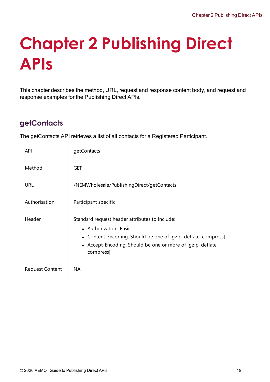# <span id="page-17-0"></span>**Chapter 2 Publishing Direct APIs**

This chapter describes the method, URL, request and response content body, and request and response examples for the Publishing Direct APIs.

# <span id="page-17-1"></span>**getContacts**

The getContacts API retrieves a list of all contacts for a Registered Participant.

| <b>API</b>             | getContacts                                                                                                                                                                                                            |
|------------------------|------------------------------------------------------------------------------------------------------------------------------------------------------------------------------------------------------------------------|
| Method                 | <b>GET</b>                                                                                                                                                                                                             |
| URL                    | /NEMWholesale/PublishingDirect/getContacts                                                                                                                                                                             |
| Authorisation          | Participant specific                                                                                                                                                                                                   |
| Header                 | Standard request header attributes to include:<br>• Authorization: Basic<br>• Content-Encoding: Should be one of [gzip, deflate, compress]<br>• Accept-Encoding: Should be one or more of [gzip, deflate,<br>compress] |
| <b>Request Content</b> | NA.                                                                                                                                                                                                                    |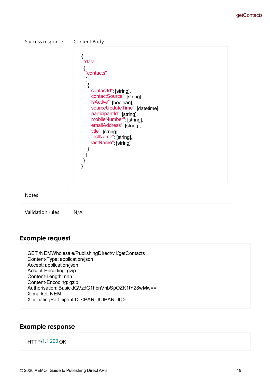

GET /NEMWholesale/PublishingDirect/v1/getContacts Content-Type: application/json Accept: application/json Accept-Encoding: gzip Content-Length: nnn Content-Encoding: gzip Authorisation: Basic dGVzdG1hbnVhbSpOZK1tY28wMw== X-market: NEM X-initiatingParticipantID: <PARTICIPANTID>

#### **Example response**

HTTP/1.1 200 OK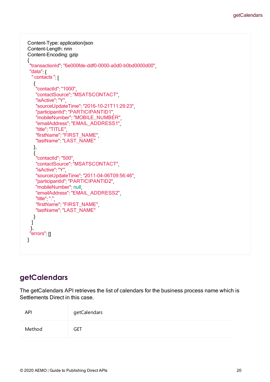```
Content-Type: application/json 
Content-Length: nnn 
Content-Encoding: gzip 
{
 "transactionId": "6e000fde-ddf0-0000-a0d0-b0bd0000d00",
 "data": {
  " contacts" [
   {
    "contactId": "1000",
   "contactSource": "MSATSCONTACT",
   "isActive": "Y",
   "sourceUpdateTime": "2016-10-21T11:29:23",
    "participantId": "PARTICIPANTID1",
   "mobileNumber": "MOBILE_NUMBER",
   "emailAddress": "EMAIL_ADDRESS1",
   "title" "TITLE",
   "firstName": "FIRST_NAME",
   "lastName" "LAST_NAME"
        },
   {
    "contactId": "500",
   "contactSource": "MSATSCONTACT",
   "isActive": "Y",
    "sourceUpdateTime": "2011-04-06T09:56:46",
   "participantId": "PARTICIPANTID2",
   "mobileNumber" null
    "emailAddress": "EMAIL_ADDRESS2",
    "title": ".",
   "firstName": "FIRST_NAME"
   "lastName" "LAST_NAME"
        } 
     ]
   },
 "errors": []
}
```
# <span id="page-19-0"></span>**getCalendars**

The getCalendars API retrieves the list of calendars for the business process name which is Settlements Direct in this case.

| <b>API</b> | getCalendars |
|------------|--------------|
| Method     | <b>GET</b>   |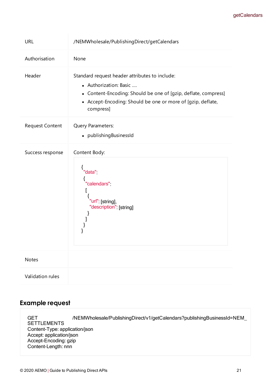| <b>URL</b>             | /NEMWholesale/PublishingDirect/getCalendars                                                                                                                                                                            |
|------------------------|------------------------------------------------------------------------------------------------------------------------------------------------------------------------------------------------------------------------|
| Authorisation          | None                                                                                                                                                                                                                   |
| Header                 | Standard request header attributes to include:<br>• Authorization: Basic<br>• Content-Encoding: Should be one of [gzip, deflate, compress]<br>• Accept-Encoding: Should be one or more of [gzip, deflate,<br>compress] |
| <b>Request Content</b> | Query Parameters:<br>• publishing BusinessId                                                                                                                                                                           |
| Success response       | Content Body:<br>"data"<br>"calendars"<br>[<br>"url": [string],<br>"description": [string]                                                                                                                             |
| Notes                  |                                                                                                                                                                                                                        |
| Validation rules       |                                                                                                                                                                                                                        |

GET /NEMWholesale/PublishingDirect/v1/getCalendars?publishingBusinessId=NEM\_ **SETTLEMENTS** Content-Type: application/json Accept: application/json Accept-Encoding: gzip Content-Length: nnn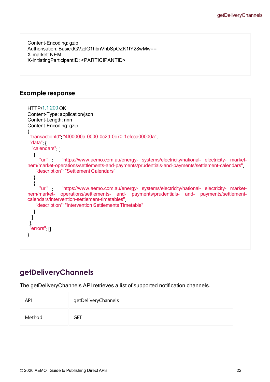Content-Encoding: gzip Authorisation: Basic dGVzdG1hbnVhbSpOZK1tY28wMw== X-market: NEM X-initiatingParticipantID: <PARTICIPANTID>

#### **Example response**

```
HTTP/1.1 200 OK 
Content-Type: application/json 
Content-Length: nnn 
Content-Encoding: gzip 
{
 "transactionId": "4f00000a-0000-0c2d-0c70-1efcca00000a",
"data" {
  "calendars": [
  {
     "url" : "https://www.aemo.com.au/energy- systems/electricity/national- electricity- market-
nem/market-operations/settlements-and-payments/prudentials-and-payments/settlement-calendars",
   "description" "Settlement Calendars"
        },
  {
     "url" : "https://www.aemo.com.au/energy- systems/electricity/national- electricity- market-
nem/market- operations/settlements- and- payments/prudentials- and- payments/settlement-
calendars/intervention-settlement-timetables",
   "description": "Intervention Settlements Timetable"
        }
     ]
  },
 "errors": []
}
```
## <span id="page-21-0"></span>**getDeliveryChannels**

The getDeliveryChannels API retrieves a list of supported notification channels.

| <b>API</b> | getDeliveryChannels |
|------------|---------------------|
| Method     | <b>GET</b>          |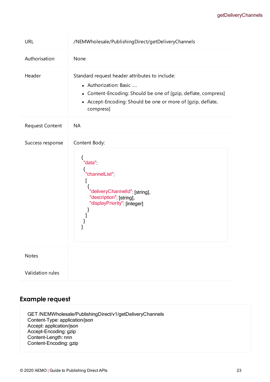| <b>URL</b>             | /NEMWholesale/PublishingDirect/getDeliveryChannels                                                                                                                                                                     |
|------------------------|------------------------------------------------------------------------------------------------------------------------------------------------------------------------------------------------------------------------|
| Authorisation          | None                                                                                                                                                                                                                   |
| Header                 | Standard request header attributes to include:<br>• Authorization: Basic<br>• Content-Encoding: Should be one of [gzip, deflate, compress]<br>• Accept-Encoding: Should be one or more of [gzip, deflate,<br>compress] |
| <b>Request Content</b> | <b>NA</b>                                                                                                                                                                                                              |
| Success response       | Content Body:<br><sup>1</sup><br>"data"<br>"channelList"<br>"deliveryChannelId": [string],<br>"description": [string],<br>"displayPriority" [integer]                                                                  |
| Notes                  |                                                                                                                                                                                                                        |
| Validation rules       |                                                                                                                                                                                                                        |

GET /NEMWholesale/PublishingDirect/v1/getDeliveryChannels Content-Type: application/json Accept: application/json Accept-Encoding: gzip Content-Length: nnn Content-Encoding: gzip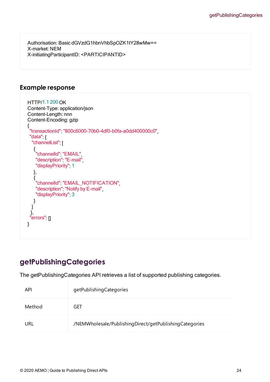Authorisation: Basic dGVzdG1hbnVhbSpOZK1tY28wMw== X-market: NEM X-initiatingParticipantID: <PARTICIPANTID>

#### **Example response**

```
HTTP/1.1 200 OK 
Content-Type: application/json 
Content-Length: nnn 
Content-Encoding: gzip 
{
 "transactionId": "800c6000-70b0-4df0-b0fa-a0dd400000c0",
 "data" {
  "channelList":
   {
    "channelId": "EMAIL",
    "description" "E-mail"
    "displayPriority" 1
         },
   {
    "channelId": "EMAIL_NOTIFICATION",
   "description" "Notify by E-mail",
    "displayPriority" 3
         }
     ]
   },
 "errors": []
}
```
# <span id="page-23-0"></span>**getPublishingCategories**

The getPublishingCategories API retrieves a list of supported publishing categories.

| <b>API</b> | getPublishingCategories                                |
|------------|--------------------------------------------------------|
| Method     | GET                                                    |
| URL        | /NEMWholesale/PublishingDirect/getPublishingCategories |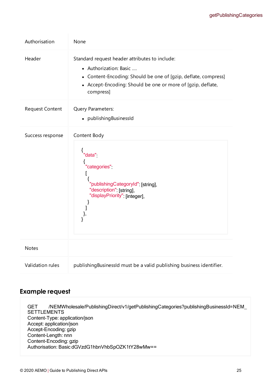| Authorisation          | None                                                                                                                                                                                                                   |
|------------------------|------------------------------------------------------------------------------------------------------------------------------------------------------------------------------------------------------------------------|
| Header                 | Standard request header attributes to include:<br>• Authorization: Basic<br>• Content-Encoding: Should be one of [gzip, deflate, compress]<br>• Accept-Encoding: Should be one or more of [gzip, deflate,<br>compress] |
| <b>Request Content</b> | Query Parameters:<br>• publishing BusinessId                                                                                                                                                                           |
| Success response       | Content Body<br>"data"<br>"categories"<br>I<br>"publishingCategoryId": [string],<br>"description": [string],<br>"displayPriority" [integer],<br>},                                                                     |
| <b>Notes</b>           |                                                                                                                                                                                                                        |
| Validation rules       | publishing BusinessId must be a valid publishing business identifier.                                                                                                                                                  |

GET /NEMWholesale/PublishingDirect/v1/getPublishingCategories?publishingBusinessId=NEM\_ **SETTLEMENTS** Content-Type: application/json Accept: application/json Accept-Encoding: gzip Content-Length: nnn Content-Encoding: gzip Authorisation: Basic dGVzdG1hbnVhbSpOZK1tY28wMw==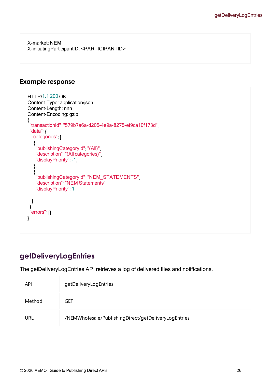X-market: NEM X-initiatingParticipantID: <PARTICIPANTID>

#### **Example response**

```
HTTP/1.1 200 OK 
Content-Type: application/json 
Content-Length: nnn 
Content-Encoding: gzip 
{
 "transactionId": "579b7a6a-d205-4e9a-8275-ef9ca10f173d",
 "data" {
  "categories" |
   {
    "publishingCategoryId": "(All)",
   "description": "(All categories)",
    "displayPriority" -1
         },
   {
    "publishingCategoryId": "NEM_STATEMENTS",
   "description" "NEM Statements"
    "displayPriority" 1
     ]
  },
 "errors": []
}
```
# <span id="page-25-0"></span>**getDeliveryLogEntries**

The getDeliveryLogEntries API retrieves a log of delivered files and notifications.

| <b>API</b> | getDeliveryLogEntries                                |
|------------|------------------------------------------------------|
| Method     | GET                                                  |
| URL        | /NEMWholesale/PublishingDirect/getDeliveryLogEntries |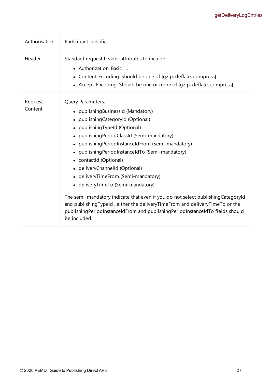| Authorisation      | Participant specific                                                                                                                                                                                                                                                                                                                                                                                                                                                                                                                                                                                                                                                                                      |
|--------------------|-----------------------------------------------------------------------------------------------------------------------------------------------------------------------------------------------------------------------------------------------------------------------------------------------------------------------------------------------------------------------------------------------------------------------------------------------------------------------------------------------------------------------------------------------------------------------------------------------------------------------------------------------------------------------------------------------------------|
| Header             | Standard request header attributes to include:<br>• Authorization: Basic<br>• Content-Encoding: Should be one of [gzip, deflate, compress]<br>• Accept-Encoding: Should be one or more of [gzip, deflate, compress]                                                                                                                                                                                                                                                                                                                                                                                                                                                                                       |
| Request<br>Content | Query Parameters:<br>• publishing BusinessId (Mandatory)<br>• publishingCategoryId (Optional)<br>• publishing Typeld (Optional)<br>publishingPeriodClassId (Semi-mandatory)<br>• publishing Period Instanceld From (Semi-mandatory)<br>publishing Period Instance Id To (Semi-mandatory)<br>• contactId (Optional)<br>• deliveryChannelld (Optional)<br>• deliveryTimeFrom (Semi-mandatory)<br>• deliveryTimeTo (Semi-mandatory)<br>The semi-mandatory indicate that even if you do not select publishing CategoryId<br>and publishing Typeld, either the delivery Time From and delivery Time To or the<br>publishingPeriodInstanceIdFrom and publishingPeriodInstanceIdTo fields shouId<br>be included. |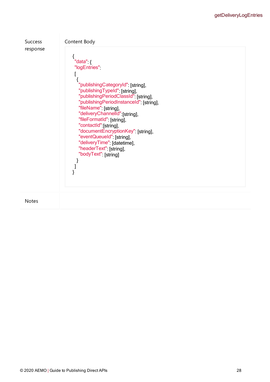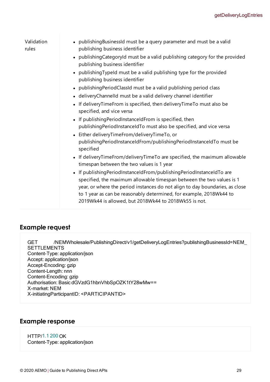| Validation<br>rules | • publishing BusinessId must be a query parameter and must be a valid<br>publishing business identifier<br>• publishing Categoryld must be a valid publishing category for the provided<br>publishing business identifier                                                                                                                                       |
|---------------------|-----------------------------------------------------------------------------------------------------------------------------------------------------------------------------------------------------------------------------------------------------------------------------------------------------------------------------------------------------------------|
|                     | • publishing Typeld must be a valid publishing type for the provided<br>publishing business identifier                                                                                                                                                                                                                                                          |
|                     | • publishing Period Classid must be a valid publishing period class                                                                                                                                                                                                                                                                                             |
|                     | • deliveryChannelld must be a valid delivery channel identifier                                                                                                                                                                                                                                                                                                 |
|                     | • If delivery Time From is specified, then delivery Time To must also be<br>specified, and vice versa                                                                                                                                                                                                                                                           |
|                     | • If publishing Period Instanceld From is specified, then                                                                                                                                                                                                                                                                                                       |
|                     | publishing Period Instanceld To must also be specified, and vice versa                                                                                                                                                                                                                                                                                          |
|                     | • Either deliveryTimeFrom/deliveryTimeTo, or                                                                                                                                                                                                                                                                                                                    |
|                     | publishingPeriodInstanceIdFrom/publishingPeriodInstanceIdTo must be<br>specified                                                                                                                                                                                                                                                                                |
|                     | • If delivery Time From/delivery Time To are specified, the maximum allowable<br>timespan between the two values is 1 year                                                                                                                                                                                                                                      |
|                     | • If publishing PeriodInstanceIdFrom/publishing PeriodInstanceIdTo are<br>specified, the maximum allowable timespan between the two values is 1<br>year, or where the period instances do not align to day boundaries, as close<br>to 1 year as can be reasonably determined, for example, 2018Wk44 to<br>2019Wk44 is allowed, but 2018Wk44 to 2018Wk55 is not. |
|                     |                                                                                                                                                                                                                                                                                                                                                                 |

GET /NEMWholesale/PublishingDirect/v1/getDeliveryLogEntries?publishingBusinessId=NEM\_ **SETTLEMENTS** Content-Type: application/json Accept: application/json Accept-Encoding: gzip Content-Length: nnn Content-Encoding: gzip Authorisation: Basic dGVzdG1hbnVhbSpOZK1tY28wMw== X-market: NEM X-initiatingParticipantID: <PARTICIPANTID>

#### **Example response**

HTTP/1.1 200 OK Content-Type: application/json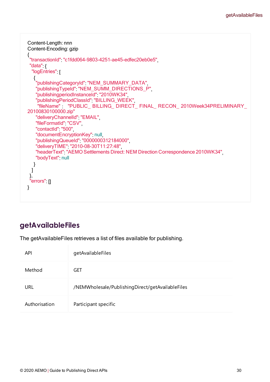

# <span id="page-29-0"></span>**getAvailableFiles**

The getAvailableFiles retrieves a list of files available for publishing.

| <b>API</b>    | getAvailableFiles                                |
|---------------|--------------------------------------------------|
| Method        | GET                                              |
| URL           | /NEMWholesale/PublishingDirect/getAvailableFiles |
| Authorisation | Participant specific                             |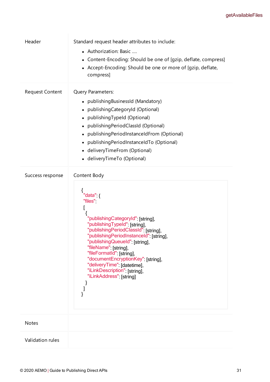| Header                 | Standard request header attributes to include:<br>• Authorization: Basic<br>• Content-Encoding: Should be one of [gzip, deflate, compress]<br>• Accept-Encoding: Should be one or more of [gzip, deflate,<br>compress]                                                                                                                                                                                             |
|------------------------|--------------------------------------------------------------------------------------------------------------------------------------------------------------------------------------------------------------------------------------------------------------------------------------------------------------------------------------------------------------------------------------------------------------------|
| <b>Request Content</b> | Query Parameters:<br>• publishing BusinessId (Mandatory)<br>• publishingCategoryId (Optional)<br>• publishing Typeld (Optional)<br>publishing Period ClassId (Optional)<br>publishing Period Instanceld From (Optional)<br>• publishing Period Instanceld To (Optional)<br>• deliveryTimeFrom (Optional)<br>• deliveryTimeTo (Optional)                                                                            |
| Success response       | Content Body<br>'data": {<br>"files"<br>"publishingCategoryId" [string],<br>"publishingTypeId": [string],<br>"publishingPeriodClassId" [string],<br>"publishingPeriodInstanceId": [string],<br>publishingQueueld": [string],<br>"fileName": [string],<br>"fileFormatId": [string],<br>"documentEncryptionKey": [string],<br>"deliveryTime" [datetime],<br>"iLinkDescription": [string],<br>"iLinkAddress" [string] |
| <b>Notes</b>           |                                                                                                                                                                                                                                                                                                                                                                                                                    |
| Validation rules       |                                                                                                                                                                                                                                                                                                                                                                                                                    |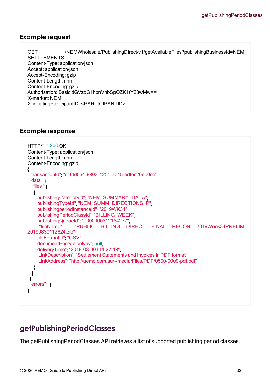GET /NEMWholesale/PublishingDirect/v1/getAvailableFiles?publishingBusinessId=NEM **SETTLEMENTS** Content-Type: application/json Accept: application/json Accept-Encoding: gzip Content-Length: nnn Content-Encoding: gzip Authorisation: Basic dGVzdG1hbnVhbSpOZK1tY28wMw== X-market: NEM X-initiatingParticipantID: <PARTICIPANTID>

#### **Example response**

```
HTTP/1.1 200 OK 
Content-Type: application/json 
Content-Length: nnn 
Content-Encoding: gzip 
{
 "transactionId": "c1fdd064-9803-4251-ae45-edfec20eb0e5",
 "data": {
 "files" |
   {
    "publishingCategoryId": "NEM_SUMMARY_DATA",
   "publishingTypeId": "NEM_SUMM_DIRECTIONS_P",
   "publishingperiodInstanceId": "2019WK34"
   "publishingPeriodClassId" "BILLING WEEK"
   "publishingQueueId": "0000000312184277",
                    "PUBLIC BILLING DIRECT FINAL RECON 2019Week34PRELIM
20190830112624.zip"
   "fileFormatId" "CSV"
   "documentEncryptionKey" null
   "deliveryTime": "2019-08-30T11:27:48",
   "iLinkDescription" "Settlement Statements and Invoices in PDF format"
   "iLinkAddress": "http://aemo.com.au/-/media/Files/PDF/0500-0009-pdf.pdf"
        }      
     ]
   },
 "errors": []
}
```
# <span id="page-31-0"></span>**getPublishingPeriodClasses**

The getPublishingPeriodClasses API retrieves a list of supported publishing period classes.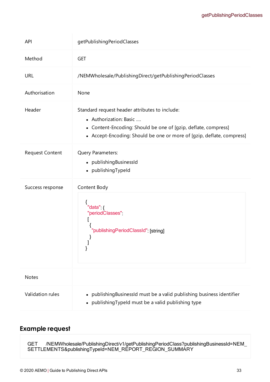| <b>API</b>             | getPublishingPeriodClasses                                                                                                                                                                                          |
|------------------------|---------------------------------------------------------------------------------------------------------------------------------------------------------------------------------------------------------------------|
| Method                 | <b>GET</b>                                                                                                                                                                                                          |
| <b>URL</b>             | /NEMWholesale/PublishingDirect/getPublishingPeriodClasses                                                                                                                                                           |
| Authorisation          | None                                                                                                                                                                                                                |
| Header                 | Standard request header attributes to include:<br>• Authorization: Basic<br>• Content-Encoding: Should be one of [gzip, deflate, compress]<br>• Accept-Encoding: Should be one or more of [gzip, deflate, compress] |
| <b>Request Content</b> | Query Parameters:<br>• publishingBusinessId<br>publishingTypeId<br>$\bullet$                                                                                                                                        |
| Success response       | Content Body<br>'data": $\{$<br>"periodClasses"<br>L<br>"publishingPeriodClassId": [string]<br>}                                                                                                                    |
| <b>Notes</b>           |                                                                                                                                                                                                                     |
| Validation rules       | publishing BusinessId must be a valid publishing business identifier<br>$\bullet$<br>publishing TypeId must be a valid publishing type<br>$\bullet$                                                                 |

GET /NEMWholesale/PublishingDirect/v1/getPublishingPeriodClass?publishingBusinessId=NEM\_ SETTLEMENTS&publishingTypeId=NEM\_REPORT\_REGION\_SUMMARY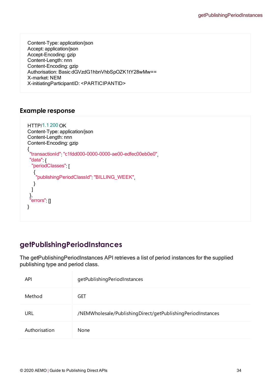Content-Type: application/json Accept: application/json Accept-Encoding: gzip Content-Length: nnn Content-Encoding: gzip Authorisation: Basic dGVzdG1hbnVhbSpOZK1tY28wMw== X-market: NEM X-initiatingParticipantID: <PARTICIPANTID>

#### **Example response**

```
HTTP/1.1 200 OK 
Content-Type: application/json 
Content-Length: nnn 
Content-Encoding: gzip 
{
 "transactionId": "c1fdd000-0000-0000-ae00-edfec00eb0e0",
 "data": {
  "periodClasses": [
   {
    "publishingPeriodClassId": "BILLING_WEEK",       
      }      
     ]
  },
 "errors": []
}
```
# <span id="page-33-0"></span>**getPublishingPeriodInstances**

The getPublishingPeriodInstances API retrieves a list of period instances for the supplied publishing type and period class.

| <b>API</b>    | getPublishingPeriodInstances                                |
|---------------|-------------------------------------------------------------|
| Method        | <b>GET</b>                                                  |
| <b>URL</b>    | /NEMWholesale/PublishingDirect/getPublishingPeriodInstances |
| Authorisation | <b>None</b>                                                 |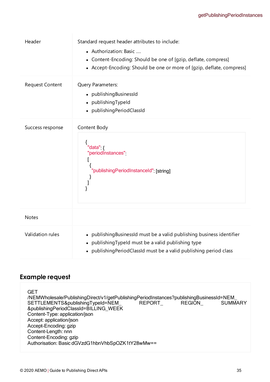| Header                 | Standard request header attributes to include:<br>• Authorization: Basic<br>Content-Encoding: Should be one of [gzip, deflate, compress]<br>$\bullet$<br>• Accept-Encoding: Should be one or more of [gzip, deflate, compress]      |
|------------------------|-------------------------------------------------------------------------------------------------------------------------------------------------------------------------------------------------------------------------------------|
| <b>Request Content</b> | Query Parameters:<br>· publishingBusinessId<br>• publishingTypeId<br>· publishingPeriodClassId                                                                                                                                      |
| Success response       | Content Body<br>"data": {<br>"periodInstances"<br>L<br>"publishingPeriodInstanceId": [string]                                                                                                                                       |
| <b>Notes</b>           |                                                                                                                                                                                                                                     |
| Validation rules       | publishing BusinessId must be a valid publishing business identifier<br>$\bullet$<br>publishing Typeld must be a valid publishing type<br>$\bullet$<br>publishingPeriodClassId must be a valid publishing period class<br>$\bullet$ |

GET /NEMWholesale/PublishingDirect/v1/getPublishingPeriodInstances?publishingBusinessId=NEM\_<br>SETTLEMENTS&publishingTypeId=NEM REPORT REGION SUMMARY SETTLEMENTS&publishingTypeId=NEM\_ FREPORT\_ REGION\_ &publishingPeriodClassId=BILLING\_WEEK Content-Type: application/json Accept: application/json Accept-Encoding: gzip Content-Length: nnn Content-Encoding: gzip Authorisation: Basic dGVzdG1hbnVhbSpOZK1tY28wMw==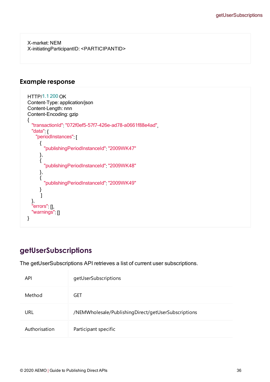X-market: NEM X-initiatingParticipantID: <PARTICIPANTID>

#### **Example response**

```
HTTP/1.1 200 OK 
Content-Type: application/json 
Content-Length: nnn 
Content-Encoding: gzip 
{
  "transactionId": "072f0ef5-57f7-426e-ad78-a0661f88e4ad",
  "data": {
    "periodInstances" [
      {
        "publishingPeriodInstanceId": "2009WK47"
                  },
      {
        "publishingPeriodInstanceId": "2009WK48"
                  },
      {
         "publishingPeriodInstanceId" "2009WK49"
                  }
                   ]
    },
  "errors": [],
  "warnings": []
}
```
### <span id="page-35-0"></span>**getUserSubscriptions**

The getUserSubscriptions API retrieves a list of current user subscriptions.

| <b>API</b>    | getUserSubscriptions                                |
|---------------|-----------------------------------------------------|
| Method        | GET                                                 |
| <b>URL</b>    | /NEMWholesale/PublishingDirect/getUserSubscriptions |
| Authorisation | Participant specific                                |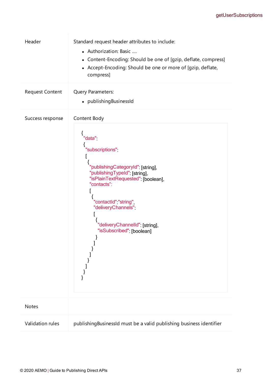| Header                 | Standard request header attributes to include:<br>• Authorization: Basic<br>• Content-Encoding: Should be one of [gzip, deflate, compress]<br>• Accept-Encoding: Should be one or more of [gzip, deflate,<br>compress]                                                                          |
|------------------------|-------------------------------------------------------------------------------------------------------------------------------------------------------------------------------------------------------------------------------------------------------------------------------------------------|
| <b>Request Content</b> | Query Parameters:<br>• publishing BusinessId                                                                                                                                                                                                                                                    |
| Success response       | Content Body<br>"data"<br>"subscriptions"<br>t<br>"publishingCategoryId" [string],<br>"publishingTypeId": [string],<br>"isPlainTextRequested": [boolean],<br>"contacts":<br>[<br>"contactId" "string"<br>"deliveryChannels"<br>"deliveryChannelId": [string],<br>"isSubscribed": [boolean]<br>} |
| <b>Notes</b>           |                                                                                                                                                                                                                                                                                                 |
| Validation rules       | publishing BusinessId must be a valid publishing business identifier                                                                                                                                                                                                                            |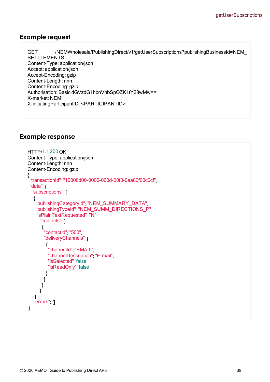GET /NEMWholesale/PublishingDirect/v1/getUserSubscriptions?publishingBusinessId=NEM SETTLEMENTS Content-Type: application/json Accept: application/json Accept-Encoding: gzip Content-Length: nnn Content-Encoding: gzip Authorisation: Basic dGVzdG1hbnVhbSpOZK1tY28wMw== X-market: NEM X-initiatingParticipantID: <PARTICIPANTID>

### **Example response**

```
HTTP/1.1 200 OK 
Content-Type: application/json 
Content-Length: nnn 
Content-Encoding: gzip 
{
 "transactionId": "10000d00-0000-000d-00f0-0aa00f00c0cf",
 "data": {
  "subscriptions":
   {
    "publishingCategoryId": "NEM_SUMMARY_DATA",
    "publishingTypeId" "NEM_SUMM_DIRECTIONS_P",
    "isPlainTextRequested": "N"
      "contacts" |
       {
        "contactId": "500",
        "deliveryChannels" |
         {
           "channelId": "EMAIL",
          "channelDescription" "E-mail"
          "isSelected": false
          "isReadOnly": false
                           }
                        ]
                     }
                  ]        
       },
   "errors": []
 }
```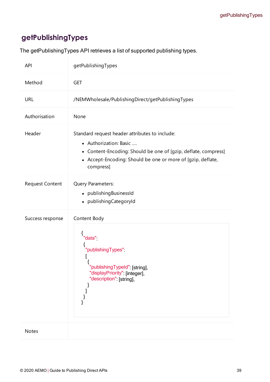## **getPublishingTypes**

The getPublishingTypes API retrieves a list of supported publishing types.

| <b>API</b>             | getPublishingTypes                                                                                                                                                                                                     |  |  |
|------------------------|------------------------------------------------------------------------------------------------------------------------------------------------------------------------------------------------------------------------|--|--|
| Method                 | <b>GET</b>                                                                                                                                                                                                             |  |  |
| <b>URL</b>             | /NEMWholesale/PublishingDirect/getPublishingTypes                                                                                                                                                                      |  |  |
| Authorisation          | None                                                                                                                                                                                                                   |  |  |
| Header                 | Standard request header attributes to include:<br>• Authorization: Basic<br>• Content-Encoding: Should be one of [gzip, deflate, compress]<br>• Accept-Encoding: Should be one or more of [gzip, deflate,<br>compress] |  |  |
| <b>Request Content</b> | Query Parameters:<br>• publishing BusinessId<br>• publishingCategoryId                                                                                                                                                 |  |  |
| Success response       | Content Body<br>"data"<br>"publishingTypes"<br>"publishingTypeId": [string],<br>"displayPriority" [integer],<br>"description": [string],                                                                               |  |  |
| Notes                  |                                                                                                                                                                                                                        |  |  |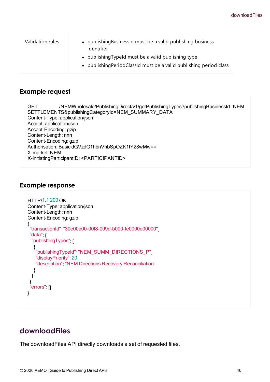Validation rules values valid publishingBusinessId must be a valid publishing business identifier • publishingTypeId must be a valid publishing type • publishingPeriodClassId must be a valid publishing period class

### **Example request**

GET /NEMWholesale/PublishingDirect/v1/getPublishingTypes?publishingBusinessId=NEM SETTLEMENTS&publishingCategoryId=NEM\_SUMMARY\_DATA Content-Type: application/json Accept: application/json Accept-Encoding: gzip Content-Length: nnn Content-Encoding: gzip Authorisation: Basic dGVzdG1hbnVhbSpOZK1tY28wMw== X-market: NEM X-initiatingParticipantID: <PARTICIPANTID>

### **Example response**

```
HTTP/1.1 200 OK 
Content-Type: application/json 
Content-Length: nnn 
Content-Encoding: gzip 
{
 "transactionId": "30e00e00-00f8-009d-b000-fe0000e00000",
 "data": {
  "publishingTypes" |
   {
    "publishingTypeId": "NEM_SUMM_DIRECTIONS_P",
    "displayPriority" 20
    "description": "NEM Directions Recovery Reconciliation
        }
     ]
  },
 "errors": []
}
```
### **downloadFiles**

The downloadFiles API directly downloads a set of requested files.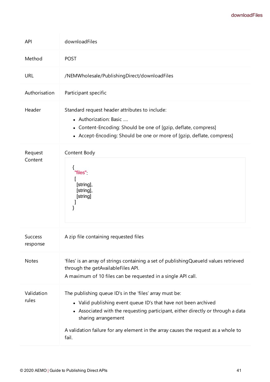| <b>API</b>                 | downloadFiles                                                                                                                                                                                                                                                                                                                       |
|----------------------------|-------------------------------------------------------------------------------------------------------------------------------------------------------------------------------------------------------------------------------------------------------------------------------------------------------------------------------------|
| Method                     | <b>POST</b>                                                                                                                                                                                                                                                                                                                         |
| <b>URL</b>                 | /NEMWholesale/PublishingDirect/downloadFiles                                                                                                                                                                                                                                                                                        |
| Authorisation              | Participant specific                                                                                                                                                                                                                                                                                                                |
| Header                     | Standard request header attributes to include:<br>• Authorization: Basic<br>• Content-Encoding: Should be one of [gzip, deflate, compress]<br>• Accept-Encoding: Should be one or more of [qzip, deflate, compress]                                                                                                                 |
| Request<br>Content         | Content Body<br>"files"<br>[string],<br>[string],<br>[string]                                                                                                                                                                                                                                                                       |
| <b>Success</b><br>response | A zip file containing requested files                                                                                                                                                                                                                                                                                               |
| <b>Notes</b>               | 'files' is an array of strings containing a set of publishing Queueld values retrieved<br>through the getAvailableFiles API.<br>A maximum of 10 files can be requested in a single API call.                                                                                                                                        |
| Validation<br>rules        | The publishing queue ID's in the 'files' array must be:<br>• Valid publishing event queue ID's that have not been archived<br>• Associated with the requesting participant, either directly or through a data<br>sharing arrangement<br>A validation failure for any element in the array causes the request as a whole to<br>fail. |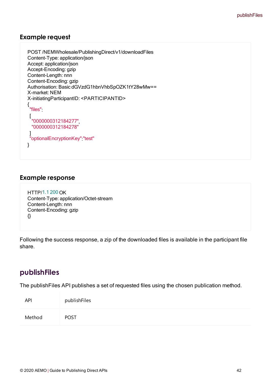POST /NEMWholesale/PublishingDirect/v1/downloadFiles Content-Type: application/json Accept: application/json Accept-Encoding: gzip Content-Length: nnn Content-Encoding: gzip Authorisation: Basic dGVzdG1hbnVhbSpOZK1tY28wMw== X-market: NEM X-initiatingParticipantID: <PARTICIPANTID> { "files": [ "0000000312184277", "0000000312184278" ] "optionalEncryptionKey":"test" }

### **Example response**

HTTP/1.1 200 OK Content-Type: application/Octet-stream Content-Length: nnn Content-Encoding: gzip {}

Following the success response, a zip of the downloaded files is available in the participant file share.

### **publishFiles**

The publishFiles API publishes a set of requested files using the chosen publication method.

| <b>API</b> | publishFiles |
|------------|--------------|
| Method     | <b>POST</b>  |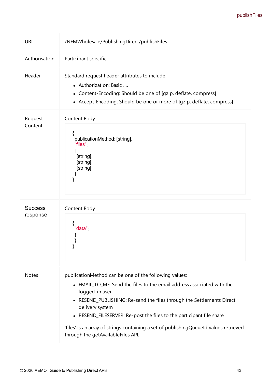| <b>URL</b>                 | /NEMWholesale/PublishingDirect/publishFiles                                                                                                                                                                                                                                                                                                                                                                                                           |  |  |
|----------------------------|-------------------------------------------------------------------------------------------------------------------------------------------------------------------------------------------------------------------------------------------------------------------------------------------------------------------------------------------------------------------------------------------------------------------------------------------------------|--|--|
| Authorisation              | Participant specific                                                                                                                                                                                                                                                                                                                                                                                                                                  |  |  |
| Header                     | Standard request header attributes to include:<br>• Authorization: Basic<br>• Content-Encoding: Should be one of [gzip, deflate, compress]<br>• Accept-Encoding: Should be one or more of [gzip, deflate, compress]                                                                                                                                                                                                                                   |  |  |
| Request<br>Content         | Content Body<br>{<br>publicationMethod: [string],<br>"files"<br>[string],<br>[string],<br>[string]                                                                                                                                                                                                                                                                                                                                                    |  |  |
| <b>Success</b><br>response | Content Body<br>"data"<br>ί<br>ſ                                                                                                                                                                                                                                                                                                                                                                                                                      |  |  |
| <b>Notes</b>               | publicationMethod can be one of the following values:<br>• EMAIL_TO_ME: Send the files to the email address associated with the<br>logged-in user<br>• RESEND_PUBLISHING: Re-send the files through the Settlements Direct<br>delivery system<br>• RESEND_FILESERVER: Re-post the files to the participant file share<br>'files' is an array of strings containing a set of publishing Queueld values retrieved<br>through the getAvailableFiles API. |  |  |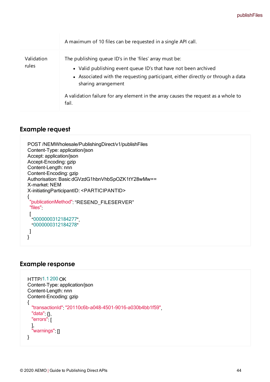|                     | A maximum of 10 files can be requested in a single API call.                                                                                                                                                                         |
|---------------------|--------------------------------------------------------------------------------------------------------------------------------------------------------------------------------------------------------------------------------------|
| Validation<br>rules | The publishing queue ID's in the 'files' array must be:<br>• Valid publishing event queue ID's that have not been archived<br>• Associated with the requesting participant, either directly or through a data<br>sharing arrangement |
|                     | A validation failure for any element in the array causes the request as a whole to<br>fail.                                                                                                                                          |

```
POST /NEMWholesale/PublishingDirect/v1/publishFiles
Content-Type: application/json 
Accept: application/json 
Accept-Encoding: gzip 
Content-Length: nnn 
Content-Encoding: gzip 
Authorisation: Basic dGVzdG1hbnVhbSpOZK1tY28wMw== 
X-market: NEM 
X-initiatingParticipantID: <PARTICIPANTID>
{
 "publicationMethod": "RESEND_FILESERVER"
 "files":
 [
     "0000000312184277",
     "0000000312184278"
  ]
}
```
### **Example response**

```
HTTP/1.1 200 OK
Content-Type: application/json
Content-Length: nnn
Content-Encoding: gzip
{
  "transactionId": "20110c6b-a048-4501-9016-a030b4bb1f59",
  "data": {},
  "errors" |
    ],
  "warnings": []
}
```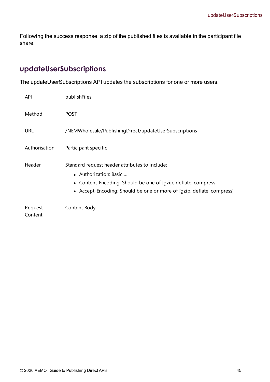Following the success response, a zip of the published files is available in the participant file share.

## **updateUserSubscriptions**

The updateUserSubscriptions API updates the subscriptions for one or more users.

| <b>API</b>         | publishFiles                                                                                                                                                                                                        |
|--------------------|---------------------------------------------------------------------------------------------------------------------------------------------------------------------------------------------------------------------|
| Method             | <b>POST</b>                                                                                                                                                                                                         |
| <b>URL</b>         | /NEMWholesale/PublishingDirect/updateUserSubscriptions                                                                                                                                                              |
| Authorisation      | Participant specific                                                                                                                                                                                                |
| Header             | Standard request header attributes to include:<br>• Authorization: Basic<br>• Content-Encoding: Should be one of [gzip, deflate, compress]<br>• Accept-Encoding: Should be one or more of [gzip, deflate, compress] |
| Request<br>Content | Content Body                                                                                                                                                                                                        |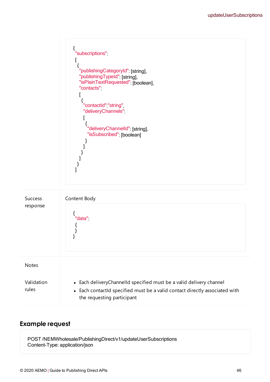

POST /NEMWholesale/PublishingDirect/v1/updateUserSubscriptions Content-Type: application/json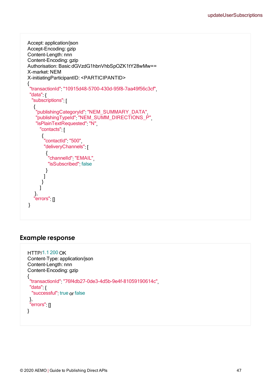```
Accept: application/json 
Accept-Encoding: gzip 
Content-Length: nnn 
Content-Encoding: gzip 
Authorisation: Basic dGVzdG1hbnVhbSpOZK1tY28wMw== 
X-market: NEM 
X-initiatingParticipantID: <PARTICIPANTID>
{
 "transactionId": "10915d48-5700-430d-95f8-7aa49f56c3cf",
 "data": {
  "subscriptions" |
   {
    "publishingCategoryId": "NEM_SUMMARY_DATA",
    "publishingTypeId" "NEM_SUMM_DIRECTIONS_P",
    "isPlainTextRequested" "N"
      "contacts" |
       {
        "contactId": "500",
        "deliveryChannels": [
         {
          "channelId": "EMAIL",
          "isSubscribed": false
                           }
                        ]
                     }
                  ]        
       },
   "errors": []
 }
```
### **Example response**

```
HTTP/1.1 200 OK
Content-Type: application/json
Content-Length: nnn
Content-Encoding: gzip
{
 "transactionId": "76f4db27-0de3-4d5b-9e4f-81059190614c",
 "data": {
  "successful" true or false
  },
 "errors": []
}
```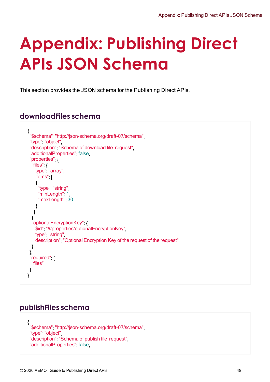# **Appendix: Publishing Direct APIs JSON Schema**

This section provides the JSON schema for the Publishing Direct APIs.

### **downloadFiles schema**

```
{
 "$schema": "http://json-schema.org/draft-07/schema",
 "type" "object"
 "description": "Schema of download file request",
 "additionalProperties" false
 "properties":
  "files": {
   "type" "array",
   "items":
    {
     "type" "string"
     "minLength" 1
     "maxLength" 30
            }
         ]
      },
   "optionalEncryptionKey": {
   "$id": "#/properties/optionalEncryptionKey"
   "type" "string"
   "description": "Optional Encryption Key of the request of the request"
      }
  },
 "required": [
  "files"
  ]
}
```
## **publishFiles schema**

{ "\$schema": "http://json-schema.org/draft-07/schema", "type" "object" "description": "Schema of publish file request", "additionalProperties" false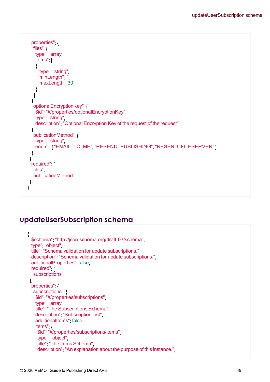```
"properties": {
  "files": {
   "type" "array",
   "items" |{
     "type" "string"
     "minLength" 1
     "maxLength": 30
           }
         ]
      },
   "optionalEncryptionKey": {
   "$id": "#/properties/optionalEncryptionKey",
   "type" "string"
   "description": "Optional Encryption Key of the request of the request"
    },
   "publicationMethod": {
   "type" "string"
   "enum": ["EMAIL_TO_ME", "RESEND_PUBLISHING", "RESEND_FILESERVER" ]
      }
  },
 "required": [
  "files",
  "publicationMethod"
  ]
}
```
## **updateUserSubscription schema**

```
{
"$schema" "http://json-schema.org/draft-07/schema"
"type" "object"
"title" "Schema validation for update subscriptions."
"description": "Schema validation for update subscriptions."
"additionalProperties" false
"required" |
 "subscriptions"
  ],
 "properties": {
 "subscriptions": {
  "$id": "#/properties/subscriptions",
  "type" "array",
  "title": "The Subscriptions Schema"
  "description" "Subscription List"
  "additionalItems" false
  "items":
   "$id": "#/properties/subscriptions/items"
   "type" "object"
   "title": "The Items Schema"
   "description": "An explanation about the purpose of this instance."
```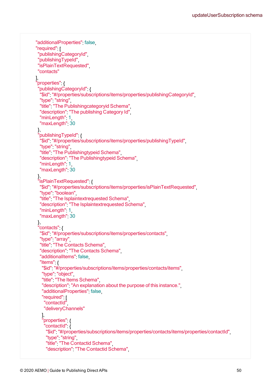```
"additionalProperties": false,
    "required" |
    "publishingCategoryId",
    "publishingTypeId",
    "isPlainTextRequested",
    "contacts"
           ],
    "properties": {
     "publishingCategoryId": {
     "$id": "#/properties/subscriptions/items/properties/publishingCategoryId",
     "type" "string"
     "title": "The Publishingcategoryid Schema"
     "description": "The publishing Category Id",
     "minLength" 1
     "maxLength" 30
              },
     "publishingTypeId": {
     "$id": "#/properties/subscriptions/items/properties/publishingTypeId"
     "type" "string"
     "title": "The Publishingtypeid Schema",
     "description": "The Publishingtypeid Schema"
     "minLength" 1
     "maxLength": 30
          },
     "isPlainTextRequested": {
     "$id": "#/properties/subscriptions/items/properties/isPlainTextRequested",
     "type" "boolean"
     "title": "The Isplaintextrequested Schema",
     "description" "The Isplaintextrequested Schema"
     "minLength" 1
     "maxLength" 30
              },
     'contacts" {
     "$id": "#/properties/subscriptions/items/properties/contacts"
     "type": "array",
     "title" "The Contacts Schema"
     "description": "The Contacts Schema"
     "additionalItems" false
     "items":
      "$id": "#/properties/subscriptions/items/properties/contacts/items"
      "type" "object"
      "title" "The Items Schema"
      "description": "An explanation about the purpose of this instance."
      "additionalProperties" false
      "required": [
       "contactId",
       "deliveryChannels"
                    ],
       "properties": {
        .<br>"contactId": {
        "$id": "#/properties/subscriptions/items/properties/contacts/items/properties/contactId",
        "type" "string"
        "title": "The Contactid Schema",
        "description" "The Contactid Schema"
```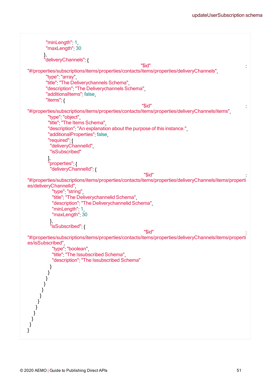```
"minLength" 1
        "maxLength" 30
                },
       "deliveryChannels": {
                                                   "$id" :
"#/properties/subscriptions/items/properties/contacts/items/properties/deliveryChannels",
        "type" "array"
        "title": "The Deliverychannels Schema",
        "description": "The Deliverychannels Schema",
        "additionalItems" false
        "items":
                                                    "$id" :
"#/properties/subscriptions/items/properties/contacts/items/properties/deliveryChannels/items",
         "type" "object"
         "title" "The Items Schema"
         "description" "An explanation about the purpose of this instance."
         "additionalProperties" false
         "required": [
          "deliveryChannelId",
          "isSubscribed"
                    ],
         "properties": {
          "deliveryChannelId": {
                                                     "$id" :
"#/properties/subscriptions/items/properties/contacts/items/properties/deliveryChannels/items/properti
es/deliveryChannelId",
           "type" "string"
           "title": "The Deliverychannelid Schema"
           "description": "The Deliverychannelid Schema",
           "minLength": 1,
           "maxLength": 30
                      },
          "isSubscribed": {
                                                     "$id" :
"#/properties/subscriptions/items/properties/contacts/items/properties/deliveryChannels/items/properti
es/isSubscribed",
           "type" "boolean"
           "title": "The Issubscribed Schema",
           "description": "The Issubscribed Schema"
                               }
                    }
                  }
                }
              }
            }
          }
        }
      }
    }
  }
}
```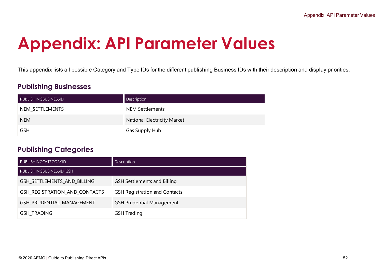# **Appendix: API Parameter Values**

This appendix lists all possible Category and Type IDs for the different publishing Business IDs with their description and display priorities.

## **Publishing Businesses**

| PUBLISHINGBUSINESSID | Description                 |
|----------------------|-----------------------------|
| NEM_SETTLEMENTS      | <b>NEM Settlements</b>      |
| <b>NEM</b>           | National Electricity Market |
| <b>GSH</b>           | Gas Supply Hub              |

## **Publishing Categories**

| PUBLISHINGCATEGORYID          | Description                          |
|-------------------------------|--------------------------------------|
| PUBLISHINGBUSINESSID: GSH     |                                      |
| GSH_SETTLEMENTS_AND_BILLING   | <b>GSH Settlements and Billing</b>   |
| GSH_REGISTRATION_AND_CONTACTS | <b>GSH Registration and Contacts</b> |
| GSH_PRUDENTIAL_MANAGEMENT     | <b>GSH Prudential Management</b>     |
| GSH_TRADING                   | <b>GSH Trading</b>                   |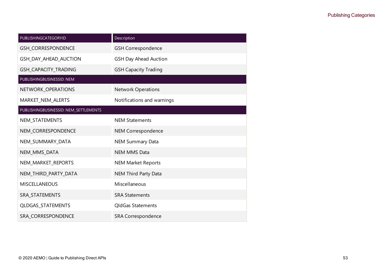| PUBLISHINGCATEGORYID                  | Description                  |
|---------------------------------------|------------------------------|
| GSH_CORRESPONDENCE                    | <b>GSH Correspondence</b>    |
| GSH_DAY_AHEAD_AUCTION                 | <b>GSH Day Ahead Auction</b> |
| GSH_CAPACITY_TRADING                  | <b>GSH Capacity Trading</b>  |
| PUBLISHINGBUSINESSID: NEM             |                              |
| NETWORK_OPERATIONS                    | <b>Network Operations</b>    |
| MARKET_NEM_ALERTS                     | Notifications and warnings   |
| PUBLISHINGBUSINESSID: NEM_SETTLEMENTS |                              |
| NEM_STATEMENTS                        | <b>NEM Statements</b>        |
| NEM_CORRESPONDENCE                    | <b>NEM Correspondence</b>    |
| NEM_SUMMARY_DATA                      | <b>NEM Summary Data</b>      |
| NEM_MMS_DATA                          | <b>NEM MMS Data</b>          |
| NEM_MARKET_REPORTS                    | <b>NEM Market Reports</b>    |
| NEM_THIRD_PARTY_DATA                  | NEM Third Party Data         |
| <b>MISCELLANEOUS</b>                  | Miscellaneous                |
| SRA_STATEMENTS                        | <b>SRA Statements</b>        |
| QLDGAS_STATEMENTS                     | <b>QldGas Statements</b>     |
| SRA_CORRESPONDENCE                    | <b>SRA Correspondence</b>    |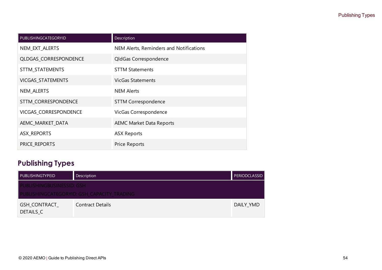| PUBLISHINGCATEGORYID  | Description                             |
|-----------------------|-----------------------------------------|
| NEM_EXT_ALERTS        | NEM Alerts, Reminders and Notifications |
| QLDGAS_CORRESPONDENCE | QldGas Correspondence                   |
| STTM_STATEMENTS       | <b>STTM Statements</b>                  |
| VICGAS_STATEMENTS     | <b>VicGas Statements</b>                |
| NEM_ALERTS            | <b>NEM Alerts</b>                       |
| STTM CORRESPONDENCE   | <b>STTM Correspondence</b>              |
| VICGAS_CORRESPONDENCE | VicGas Correspondence                   |
| AEMC_MARKET_DATA      | <b>AEMC Market Data Reports</b>         |
| ASX_REPORTS           | <b>ASX Reports</b>                      |
| PRICE_REPORTS         | <b>Price Reports</b>                    |

# **Publishing Types**

| l publishingtypeid                                                             | Description             | <b>PERIODCLASSID</b> |
|--------------------------------------------------------------------------------|-------------------------|----------------------|
| <b>PUBLISHINGBUSINESSID: GSH</b><br>PUBLISHINGCATEGORYID: GSH_CAPACITY_TRADING |                         |                      |
| GSH_CONTRACT_<br>DETAILS C                                                     | <b>Contract Details</b> | DAILY_YMD            |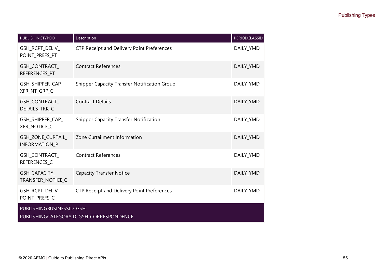| PUBLISHINGTYPEID                                                      | Description                                         | PERIODCLASSID |  |
|-----------------------------------------------------------------------|-----------------------------------------------------|---------------|--|
| GSH_RCPT_DELIV_<br>POINT_PREFS_PT                                     | CTP Receipt and Delivery Point Preferences          | DAILY_YMD     |  |
| <b>GSH CONTRACT</b><br><b>REFERENCES PT</b>                           | <b>Contract References</b>                          | DAILY_YMD     |  |
| GSH_SHIPPER_CAP_<br>XFR_NT_GRP_C                                      | <b>Shipper Capacity Transfer Notification Group</b> | DAILY_YMD     |  |
| <b>GSH CONTRACT</b><br>DETAILS_TRK_C                                  | <b>Contract Details</b>                             | DAILY_YMD     |  |
| GSH_SHIPPER_CAP_<br>XFR_NOTICE_C                                      | <b>Shipper Capacity Transfer Notification</b>       | DAILY_YMD     |  |
| GSH_ZONE_CURTAIL<br><b>INFORMATION P</b>                              | Zone Curtailment Information                        | DAILY_YMD     |  |
| <b>GSH CONTRACT</b><br>REFERENCES_C                                   | <b>Contract References</b>                          | DAILY_YMD     |  |
| GSH_CAPACITY_<br>TRANSFER_NOTICE_C                                    | <b>Capacity Transfer Notice</b>                     | DAILY_YMD     |  |
| GSH_RCPT_DELIV_<br>POINT_PREFS_C                                      | CTP Receipt and Delivery Point Preferences          | DAILY_YMD     |  |
| PUBLISHINGBUSINESSID: GSH<br>PUBLISHINGCATEGORYID: GSH_CORRESPONDENCE |                                                     |               |  |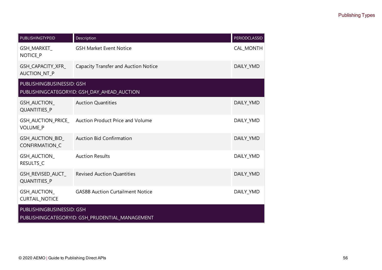| PUBLISHINGTYPEID                                                             | Description                                 | PERIODCLASSID    |  |
|------------------------------------------------------------------------------|---------------------------------------------|------------------|--|
| GSH_MARKET_<br><b>NOTICE P</b>                                               | <b>GSH Market Event Notice</b>              | CAL_MONTH        |  |
| GSH_CAPACITY_XFR_<br>AUCTION_NT_P                                            | <b>Capacity Transfer and Auction Notice</b> | DAILY_YMD        |  |
| PUBLISHINGBUSINESSID: GSH                                                    |                                             |                  |  |
|                                                                              | PUBLISHINGCATEGORYID: GSH_DAY_AHEAD_AUCTION |                  |  |
| GSH_AUCTION_<br><b>QUANTITIES P</b>                                          | <b>Auction Quantities</b>                   | DAILY_YMD        |  |
| GSH_AUCTION_PRICE_<br><b>VOLUME P</b>                                        | <b>Auction Product Price and Volume</b>     | <b>DAILY YMD</b> |  |
| GSH_AUCTION_BID_<br><b>CONFIRMATION C</b>                                    | <b>Auction Bid Confirmation</b>             | DAILY_YMD        |  |
| GSH_AUCTION_<br>RESULTS C                                                    | <b>Auction Results</b>                      | <b>DAILY YMD</b> |  |
| GSH_REVISED_AUCT_<br><b>QUANTITIES P</b>                                     | <b>Revised Auction Quantities</b>           | DAILY_YMD        |  |
| GSH_AUCTION_<br><b>CURTAIL_NOTICE</b>                                        | <b>GASBB Auction Curtailment Notice</b>     | DAILY_YMD        |  |
| PUBLISHINGBUSINESSID: GSH<br>PUBLISHINGCATEGORYID: GSH_PRUDENTIAL_MANAGEMENT |                                             |                  |  |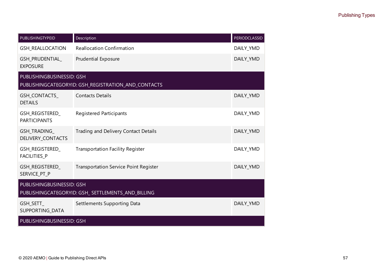| PUBLISHINGTYPEID                                   | Description                                         | PERIODCLASSID |  |
|----------------------------------------------------|-----------------------------------------------------|---------------|--|
| <b>GSH_REALLOCATION</b>                            | <b>Reallocation Confirmation</b>                    | DAILY_YMD     |  |
| GSH_PRUDENTIAL<br><b>EXPOSURE</b>                  | <b>Prudential Exposure</b>                          | DAILY_YMD     |  |
| PUBLISHINGBUSINESSID: GSH                          |                                                     |               |  |
|                                                    | PUBLISHINGCATEGORYID: GSH_REGISTRATION_AND_CONTACTS |               |  |
| GSH_CONTACTS_<br><b>DETAILS</b>                    | <b>Contacts Details</b>                             | DAILY_YMD     |  |
| GSH_REGISTERED_<br><b>PARTICIPANTS</b>             | <b>Registered Participants</b>                      | DAILY YMD     |  |
| GSH_TRADING_<br>DELIVERY_CONTACTS                  | Trading and Delivery Contact Details                | DAILY_YMD     |  |
| GSH_REGISTERED_<br>FACILITIES_P                    | <b>Transportation Facility Register</b>             | DAILY_YMD     |  |
| GSH_REGISTERED_<br>SERVICE_PT_P                    | <b>Transportation Service Point Register</b>        | DAILY_YMD     |  |
| PUBLISHINGBUSINESSID: GSH                          |                                                     |               |  |
| PUBLISHINGCATEGORYID: GSH_ SETTLEMENTS_AND_BILLING |                                                     |               |  |
| GSH_SETT_<br>SUPPORTING_DATA                       | Settlements Supporting Data                         | DAILY_YMD     |  |
| PUBLISHINGBUSINESSID: GSH                          |                                                     |               |  |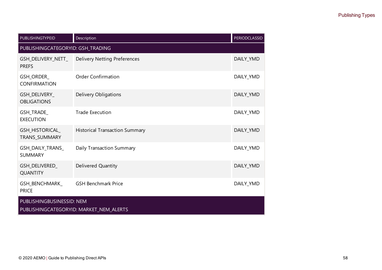| PUBLISHINGTYPEID                                                     | Description                           | PERIODCLASSID |  |
|----------------------------------------------------------------------|---------------------------------------|---------------|--|
| PUBLISHINGCATEGORYID: GSH_TRADING                                    |                                       |               |  |
| GSH_DELIVERY_NETT_<br><b>PREFS</b>                                   | <b>Delivery Netting Preferences</b>   | DAILY_YMD     |  |
| GSH_ORDER_<br><b>CONFIRMATION</b>                                    | <b>Order Confirmation</b>             | DAILY_YMD     |  |
| GSH_DELIVERY_<br><b>OBLIGATIONS</b>                                  | <b>Delivery Obligations</b>           | DAILY_YMD     |  |
| GSH_TRADE_<br><b>EXECUTION</b>                                       | <b>Trade Execution</b>                | DAILY_YMD     |  |
| GSH_HISTORICAL_<br>TRANS_SUMMARY                                     | <b>Historical Transaction Summary</b> | DAILY_YMD     |  |
| GSH_DAILY_TRANS_<br><b>SUMMARY</b>                                   | Daily Transaction Summary             | DAILY_YMD     |  |
| GSH_DELIVERED_<br><b>QUANTITY</b>                                    | Delivered Quantity                    | DAILY_YMD     |  |
| GSH_BENCHMARK_<br><b>PRICE</b>                                       | <b>GSH Benchmark Price</b>            | DAILY_YMD     |  |
| PUBLISHINGBUSINESSID: NEM<br>PUBLISHINGCATEGORYID: MARKET_NEM_ALERTS |                                       |               |  |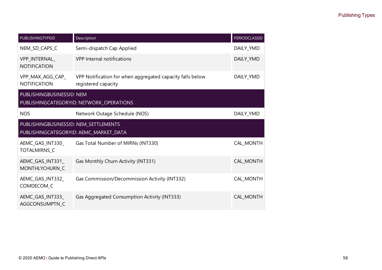| PUBLISHINGTYPEID                                                                | Description                                                                      | PERIODCLASSID    |
|---------------------------------------------------------------------------------|----------------------------------------------------------------------------------|------------------|
| NEM_SD_CAPS_C                                                                   | Semi-dispatch Cap Applied                                                        | DAILY_YMD        |
| VPP_INTERNAL_<br><b>NOTIFICATION</b>                                            | VPP Internal notifications                                                       | DAILY_YMD        |
| VPP_MAX_AGG_CAP_<br><b>NOTIFICATION</b>                                         | VPP Notification for when aggregated capacity falls below<br>registered capacity | DAILY_YMD        |
| PUBLISHINGBUSINESSID: NEM                                                       | PUBLISHINGCATEGORYID: NETWORK_OPERATIONS                                         |                  |
| <b>NOS</b>                                                                      | Network Outage Schedule (NOS)                                                    | DAILY_YMD        |
| PUBLISHINGBUSINESSID: NEM_SETTLEMENTS<br>PUBLISHINGCATEGORYID: AEMC_MARKET_DATA |                                                                                  |                  |
| AEMC_GAS_INT330_<br><b>TOTALMIRNS C</b>                                         | Gas Total Number of MIRNs (INT330)                                               | CAL_MONTH        |
| AEMC_GAS_INT331_<br>MONTHLYCHURN C                                              | Gas Monthly Churn Activity (INT331)                                              | <b>CAL MONTH</b> |
| AEMC_GAS_INT332_<br>COMDECOM_C                                                  | Gas Commission/Decommission Activity (INT332)                                    | CAL_MONTH        |
| AEMC_GAS_INT333_<br>AGGCONSUMPTN_C                                              | Gas Aggregated Consumption Activity (INT333)                                     | CAL_MONTH        |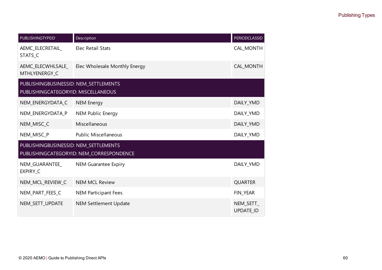| PUBLISHINGTYPEID                                                                  | Description                   | PERIODCLASSID                 |
|-----------------------------------------------------------------------------------|-------------------------------|-------------------------------|
| AEMC_ELECRETAIL_<br>STATS C                                                       | <b>Elec Retail Stats</b>      | CAL_MONTH                     |
| AEMC_ELECWHLSALE_<br>MTHLYENERGY C                                                | Elec Wholesale Monthly Energy | CAL_MONTH                     |
| PUBLISHINGBUSINESSID: NEM_SETTLEMENTS<br>PUBLISHINGCATEGORYID: MISCELLANEOUS      |                               |                               |
| NEM_ENERGYDATA_C                                                                  | <b>NEM Energy</b>             | DAILY_YMD                     |
| NEM_ENERGYDATA_P                                                                  | <b>NEM Public Energy</b>      | DAILY YMD                     |
| NEM_MISC_C                                                                        | Miscellaneous                 | DAILY YMD                     |
| NEM_MISC_P                                                                        | <b>Public Miscellaneous</b>   | DAILY_YMD                     |
| PUBLISHINGBUSINESSID: NEM_SETTLEMENTS<br>PUBLISHINGCATEGORYID: NEM_CORRESPONDENCE |                               |                               |
| NEM GUARANTEE<br>EXPIRY_C                                                         | <b>NEM Guarantee Expiry</b>   | DAILY YMD                     |
| NEM_MCL_REVIEW_C                                                                  | <b>NEM MCL Review</b>         | <b>QUARTER</b>                |
| NEM_PART_FEES_C                                                                   | <b>NEM Participant Fees</b>   | FIN_YEAR                      |
| NEM_SETT_UPDATE                                                                   | <b>NEM Settlement Update</b>  | NEM_SETT_<br><b>UPDATE ID</b> |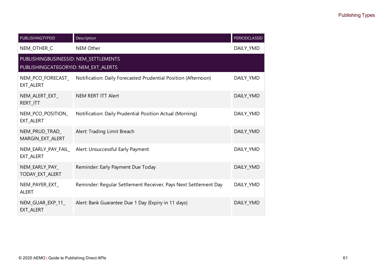| PUBLISHINGTYPEID                        | Description                                                     | PERIODCLASSID |
|-----------------------------------------|-----------------------------------------------------------------|---------------|
| NEM_OTHER_C                             | <b>NEM Other</b>                                                | DAILY_YMD     |
| PUBLISHINGBUSINESSID: NEM_SETTLEMENTS   |                                                                 |               |
| PUBLISHINGCATEGORYID: NEM_EXT_ALERTS    |                                                                 |               |
| NEM_PCO_FORECAST_<br>EXT ALERT          | Notification: Daily Forecasted Prudential Position (Afternoon)  | DAILY_YMD     |
| NEM_ALERT_EXT_<br><b>RERT ITT</b>       | <b>NEM RERT ITT Alert</b>                                       | DAILY_YMD     |
| NEM_PCO_POSITION_<br><b>EXT ALERT</b>   | Notification: Daily Prudential Position Actual (Morning)        | DAILY_YMD     |
| NEM_PRUD_TRAD_<br>MARGIN_EXT_ALERT      | Alert: Trading Limit Breach                                     | DAILY_YMD     |
| NEM_EARLY_PAY_FAIL_<br><b>EXT ALERT</b> | Alert: Unsuccessful Early Payment                               | DAILY_YMD     |
| NEM_EARLY_PAY_<br>TODAY_EXT_ALERT       | Reminder: Early Payment Due Today                               | DAILY YMD     |
| NEM_PAYER_EXT_<br><b>ALERT</b>          | Reminder: Regular Settlement Receiver, Pays Next Settlement Day | DAILY YMD     |
| NEM_GUAR_EXP_11_<br>EXT_ALERT           | Alert: Bank Guarantee Due 1 Day (Expiry in 11 days)             | DAILY_YMD     |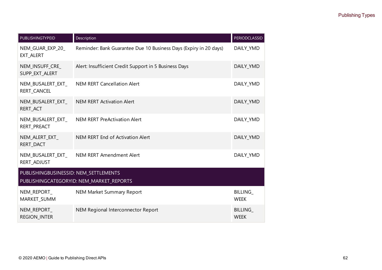| PUBLISHINGTYPEID                                                                  | Description                                                       | PERIODCLASSID                 |  |
|-----------------------------------------------------------------------------------|-------------------------------------------------------------------|-------------------------------|--|
| NEM_GUAR_EXP_20_<br>EXT ALERT                                                     | Reminder: Bank Guarantee Due 10 Business Days (Expiry in 20 days) | DAILY_YMD                     |  |
| NEM_INSUFF_CRE_<br>SUPP_EXT_ALERT                                                 | Alert: Insufficient Credit Support in 5 Business Days             | DAILY_YMD                     |  |
| NEM_BUSALERT_EXT_<br>RERT_CANCEL                                                  | <b>NEM RERT Cancellation Alert</b>                                | DAILY_YMD                     |  |
| NEM_BUSALERT_EXT_<br>RERT_ACT                                                     | <b>NEM RERT Activation Alert</b>                                  | DAILY_YMD                     |  |
| NEM_BUSALERT_EXT_<br>RERT_PREACT                                                  | <b>NEM RERT PreActivation Alert</b>                               | DAILY YMD                     |  |
| NEM_ALERT_EXT_<br>RERT_DACT                                                       | NEM RERT End of Activation Alert                                  | DAILY_YMD                     |  |
| NEM_BUSALERT_EXT_<br>RERT_ADJUST                                                  | <b>NEM RERT Amendment Alert</b>                                   | DAILY YMD                     |  |
| PUBLISHINGBUSINESSID: NEM_SETTLEMENTS<br>PUBLISHINGCATEGORYID: NEM_MARKET_REPORTS |                                                                   |                               |  |
| NEM_REPORT_<br>MARKET_SUMM                                                        | <b>NEM Market Summary Report</b>                                  | <b>BILLING</b><br><b>WEEK</b> |  |
| NEM_REPORT_<br><b>REGION_INTER</b>                                                | NEM Regional Interconnector Report                                | BILLING<br><b>WEEK</b>        |  |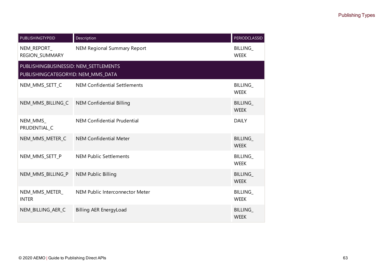| <b>PUBLISHINGTYPEID</b>                                                     | Description                        | PERIODCLASSID                 |
|-----------------------------------------------------------------------------|------------------------------------|-------------------------------|
| NEM_REPORT_<br>REGION_SUMMARY                                               | <b>NEM Regional Summary Report</b> | <b>BILLING</b><br><b>WEEK</b> |
| PUBLISHINGBUSINESSID: NEM_SETTLEMENTS<br>PUBLISHINGCATEGORYID: NEM_MMS_DATA |                                    |                               |
| NEM_MMS_SETT_C                                                              | NEM Confidential Settlements       | <b>BILLING</b><br><b>WEEK</b> |
| NEM_MMS_BILLING_C                                                           | <b>NEM Confidential Billing</b>    | <b>BILLING</b><br><b>WEEK</b> |
| NEM_MMS_<br>PRUDENTIAL C                                                    | <b>NEM Confidential Prudential</b> | <b>DAILY</b>                  |
| NEM_MMS_METER_C                                                             | <b>NEM Confidential Meter</b>      | <b>BILLING</b><br><b>WEEK</b> |
| NEM_MMS_SETT_P                                                              | <b>NEM Public Settlements</b>      | BILLING<br><b>WEEK</b>        |
| NEM_MMS_BILLING_P                                                           | <b>NEM Public Billing</b>          | BILLING<br><b>WEEK</b>        |
| NEM_MMS_METER_<br><b>INTER</b>                                              | NEM Public Interconnector Meter    | BILLING<br><b>WEEK</b>        |
| NEM_BILLING_AER_C                                                           | <b>Billing AER EnergyLoad</b>      | BILLING<br><b>WEEK</b>        |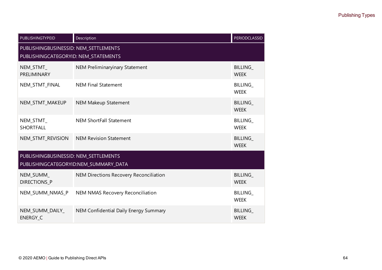| PUBLISHINGTYPEID                                                              | Description                             | PERIODCLASSID                 |  |
|-------------------------------------------------------------------------------|-----------------------------------------|-------------------------------|--|
| PUBLISHINGBUSINESSID: NEM_SETTLEMENTS<br>PUBLISHINGCATEGORYID: NEM_STATEMENTS |                                         |                               |  |
| NEM_STMT_                                                                     | <b>NEM Preliminaryinary Statement</b>   | BILLING                       |  |
| PRELIMINARY                                                                   |                                         | <b>WEEK</b>                   |  |
| NEM STMT FINAL                                                                | <b>NEM Final Statement</b>              | <b>BILLING</b><br><b>WEEK</b> |  |
| NEM_STMT_MAKEUP                                                               | <b>NEM Makeup Statement</b>             | <b>BILLING</b><br><b>WEEK</b> |  |
| NEM_STMT_<br><b>SHORTFALL</b>                                                 | <b>NEM ShortFall Statement</b>          | BILLING<br><b>WEEK</b>        |  |
| NEM_STMT_REVISION                                                             | <b>NEM Revision Statement</b>           | BILLING_<br><b>WEEK</b>       |  |
| PUBLISHINGBUSINESSID: NEM_SETTLEMENTS                                         |                                         |                               |  |
|                                                                               | PUBLISHINGCATEGORYID:NEM_SUMMARY_DATA   |                               |  |
| NEM_SUMM_<br>DIRECTIONS_P                                                     | NEM Directions Recovery Reconciliation  | BILLING<br><b>WEEK</b>        |  |
| NEM_SUMM_NMAS_P                                                               | <b>NEM NMAS Recovery Reconciliation</b> | BILLING<br><b>WEEK</b>        |  |
| NEM_SUMM_DAILY_<br><b>ENERGY C</b>                                            | NEM Confidential Daily Energy Summary   | <b>BILLING</b><br><b>WEEK</b> |  |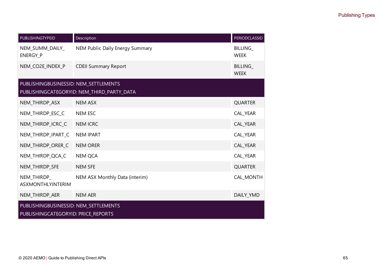| PUBLISHINGTYPEID                                                             | Description                                | PERIODCLASSID          |  |
|------------------------------------------------------------------------------|--------------------------------------------|------------------------|--|
| NEM_SUMM_DAILY_<br><b>ENERGY P</b>                                           | NEM Public Daily Energy Summary            | BILLING<br><b>WEEK</b> |  |
| NEM_CO2E_INDEX_P                                                             | <b>CDEII Summary Report</b>                | BILLING<br><b>WEEK</b> |  |
| PUBLISHINGBUSINESSID: NEM_SETTLEMENTS                                        |                                            |                        |  |
|                                                                              | PUBLISHINGCATEGORYID: NEM_THIRD_PARTY_DATA |                        |  |
| NEM_THIRDP_ASX                                                               | <b>NEM ASX</b>                             | <b>QUARTER</b>         |  |
| NEM_THIRDP_ESC_C                                                             | <b>NEM ESC</b>                             | CAL_YEAR               |  |
| NEM_THIRDP_ICRC_C                                                            | <b>NEM ICRC</b>                            | CAL_YEAR               |  |
| NEM_THIRDP_IPART_C                                                           | <b>NEM IPART</b>                           | CAL_YEAR               |  |
| NEM_THIRDP_ORER_C                                                            | <b>NEM ORER</b>                            | CAL_YEAR               |  |
| NEM_THIRDP_QCA_C                                                             | <b>NEM QCA</b>                             | CAL_YEAR               |  |
| NEM_THIRDP_SFE                                                               | <b>NEM SFE</b>                             | <b>QUARTER</b>         |  |
| NEM_THIRDP_<br><b>ASXMONTHLYINTERIM</b>                                      | NEM ASX Monthly Data (interim)             | CAL_MONTH              |  |
| NEM THIRDP AER                                                               | <b>NEM AER</b>                             | <b>DAILY YMD</b>       |  |
| PUBLISHINGBUSINESSID: NEM_SETTLEMENTS<br>PUBLISHINGCATEGORYID: PRICE_REPORTS |                                            |                        |  |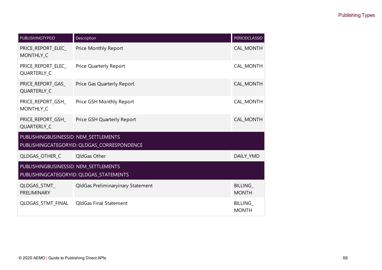| PUBLISHINGTYPEID                                                                     | Description                       | PERIODCLASSID                  |  |
|--------------------------------------------------------------------------------------|-----------------------------------|--------------------------------|--|
| PRICE_REPORT_ELEC_<br>MONTHLY C                                                      | Price Monthly Report              | CAL_MONTH                      |  |
| PRICE_REPORT_ELEC_<br><b>QUARTERLY C</b>                                             | <b>Price Quarterly Report</b>     | CAL_MONTH                      |  |
| PRICE_REPORT_GAS_<br><b>QUARTERLY C</b>                                              | Price Gas Quarterly Report        | CAL_MONTH                      |  |
| PRICE_REPORT_GSH_<br>MONTHLY_C                                                       | Price GSH Monthly Report          | CAL_MONTH                      |  |
| PRICE_REPORT_GSH_<br>QUARTERLY_C                                                     | Price GSH Quarterly Report        | CAL_MONTH                      |  |
| PUBLISHINGBUSINESSID: NEM_SETTLEMENTS<br>PUBLISHINGCATEGORYID: QLDGAS_CORRESPONDENCE |                                   |                                |  |
| QLDGAS_OTHER_C                                                                       | QldGas Other                      | DAILY_YMD                      |  |
| PUBLISHINGBUSINESSID: NEM_SETTLEMENTS<br>PUBLISHINGCATEGORYID: QLDGAS_STATEMENTS     |                                   |                                |  |
| QLDGAS_STMT_<br>PRELIMINARY                                                          | QIdGas Preliminaryinary Statement | <b>BILLING</b><br><b>MONTH</b> |  |
| QLDGAS_STMT_FINAL                                                                    | <b>OldGas Final Statement</b>     | <b>BILLING</b><br><b>MONTH</b> |  |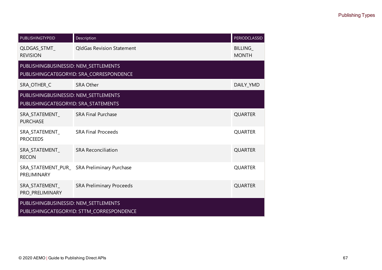| PUBLISHINGTYPEID                                                                   | Description                                 | PERIODCLASSID           |  |  |
|------------------------------------------------------------------------------------|---------------------------------------------|-------------------------|--|--|
| QLDGAS_STMT_<br><b>REVISION</b>                                                    | <b>QldGas Revision Statement</b>            | BILLING<br><b>MONTH</b> |  |  |
| PUBLISHINGBUSINESSID: NEM_SETTLEMENTS<br>PUBLISHINGCATEGORYID: SRA_CORRESPONDENCE  |                                             |                         |  |  |
| SRA OTHER C                                                                        | <b>SRA Other</b>                            | DAILY YMD               |  |  |
| PUBLISHINGBUSINESSID: NEM_SETTLEMENTS<br>PUBLISHINGCATEGORYID: SRA_STATEMENTS      |                                             |                         |  |  |
| SRA_STATEMENT_<br><b>PURCHASE</b>                                                  | <b>SRA Final Purchase</b>                   | <b>QUARTER</b>          |  |  |
| SRA STATEMENT<br><b>PROCEEDS</b>                                                   | <b>SRA Final Proceeds</b>                   | <b>QUARTER</b>          |  |  |
| SRA_STATEMENT_<br><b>RECON</b>                                                     | <b>SRA Reconciliation</b>                   | <b>QUARTER</b>          |  |  |
| PRELIMINARY                                                                        | SRA_STATEMENT_PUR_ SRA Preliminary Purchase | <b>QUARTER</b>          |  |  |
| SRA_STATEMENT_<br>PRO PRELIMINARY                                                  | <b>SRA Preliminary Proceeds</b>             | <b>QUARTER</b>          |  |  |
| PUBLISHINGBUSINESSID: NEM_SETTLEMENTS<br>PUBLISHINGCATEGORYID: STTM_CORRESPONDENCE |                                             |                         |  |  |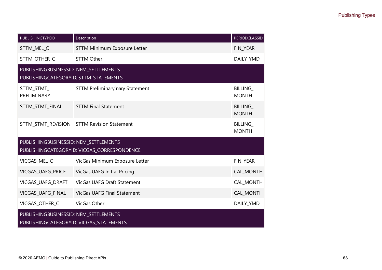| PUBLISHINGTYPEID                                                                 | Description                                 | PERIODCLASSID            |  |  |
|----------------------------------------------------------------------------------|---------------------------------------------|--------------------------|--|--|
| STTM_MEL_C                                                                       | <b>STTM Minimum Exposure Letter</b>         | FIN_YEAR                 |  |  |
| STTM_OTHER_C                                                                     | <b>STTM Other</b>                           | DAILY_YMD                |  |  |
| PUBLISHINGBUSINESSID: NEM_SETTLEMENTS                                            |                                             |                          |  |  |
| PUBLISHINGCATEGORYID: STTM_STATEMENTS                                            |                                             |                          |  |  |
| STTM_STMT_<br>PRELIMINARY                                                        | <b>STTM Preliminaryinary Statement</b>      | BILLING<br><b>MONTH</b>  |  |  |
| STTM_STMT_FINAL                                                                  | <b>STTM Final Statement</b>                 | BILLING<br><b>MONTH</b>  |  |  |
| STTM_STMT_REVISION                                                               | <b>STTM Revision Statement</b>              | BILLING_<br><b>MONTH</b> |  |  |
| PUBLISHINGBUSINESSID: NEM_SETTLEMENTS                                            |                                             |                          |  |  |
|                                                                                  | PUBLISHINGCATEGORYID: VICGAS_CORRESPONDENCE |                          |  |  |
| VICGAS_MEL_C                                                                     | VicGas Minimum Exposure Letter              | FIN_YEAR                 |  |  |
| VICGAS_UAFG_PRICE                                                                | <b>VicGas UAFG Initial Pricing</b>          | CAL_MONTH                |  |  |
| VICGAS_UAFG_DRAFT                                                                | <b>VicGas UAFG Draft Statement</b>          | CAL_MONTH                |  |  |
| VICGAS_UAFG_FINAL                                                                | <b>VicGas UAFG Final Statement</b>          | CAL_MONTH                |  |  |
| VICGAS_OTHER_C                                                                   | VicGas Other                                | DAILY_YMD                |  |  |
| PUBLISHINGBUSINESSID: NEM_SETTLEMENTS<br>PUBLISHINGCATEGORYID: VICGAS_STATEMENTS |                                             |                          |  |  |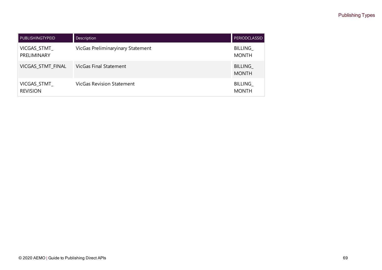| PUBLISHINGTYPEID                | Description                       | <b>PERIODCLASSID</b>    |
|---------------------------------|-----------------------------------|-------------------------|
| VICGAS_STMT_<br>PRELIMINARY     | VicGas Preliminaryinary Statement | BILLING<br><b>MONTH</b> |
| VICGAS STMT FINAL               | <b>VicGas Final Statement</b>     | BILLING<br><b>MONTH</b> |
| VICGAS_STMT_<br><b>REVISION</b> | VicGas Revision Statement         | BILLING<br><b>MONTH</b> |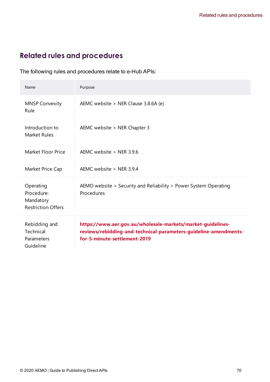# **Related rules and procedures**

The following rules and procedures relate to e-Hub APIs:

| Name                                                              | Purpose                                                                                                                                                         |
|-------------------------------------------------------------------|-----------------------------------------------------------------------------------------------------------------------------------------------------------------|
| <b>MNSP Convexity</b><br>Rule                                     | AEMC website > NER Clause 3.8.6A (e)                                                                                                                            |
| Introduction to<br><b>Market Rules</b>                            | AEMC website > NER Chapter 3                                                                                                                                    |
| Market Floor Price                                                | AEMC website > NER 3.9.6                                                                                                                                        |
| Market Price Cap                                                  | AEMC website > NER 3.9.4                                                                                                                                        |
| Operating<br>Procedure:<br>Mandatory<br><b>Restriction Offers</b> | AEMO website > Security and Reliability > Power System Operating<br>Procedures                                                                                  |
| Rebidding and<br>Technical<br>Parameters<br>Guideline             | https://www.aer.gov.au/wholesale-markets/market-guidelines-<br>reviews/rebidding-and-technical-parameters-guideline-amendments-<br>for-5-minute-settlement-2019 |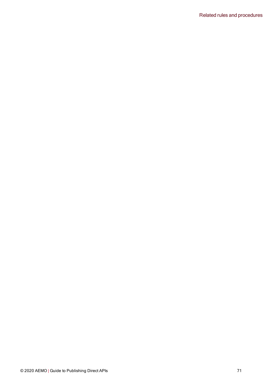Related rules and procedures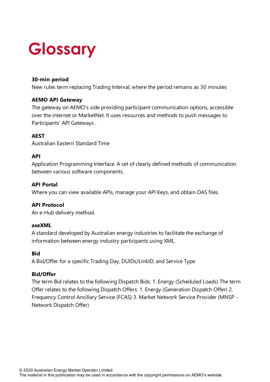# **Glossary**

### **30-min period**

New rules term replacing Trading Interval, where the period remains as 30 minutes

### **AEMO API Gateway**

The gateway on AEMO's side providing participant communication options, accessible over the internet or MarketNet. It uses resources and methods to push messages to Participants' API Gateways .

### **AEST**

Australian Eastern Standard Time

### **API**

Application Programming Interface. A set of clearly defined methods of communication between various software components.

### **API Portal**

Where you can view available APIs, manage your API Keys, and obtain OAS files.

### **API Protocol**

An e-Hub delivery method.

### **aseXML**

A standard developed by Australian energy industries to facilitate the exchange of information between energy industry participants using XML.

### **Bid**

A Bid/Offer for a specific Trading Day, DUIDs/LinkID, and Service Type

### **Bid/Offer**

The term Bid relates to the following Dispatch Bids: 1. Energy (Scheduled Loads) The term Offer relates to the following Dispatch Offers: 1. Energy (Generation Dispatch Offer) 2. Frequency Control Ancillary Service (FCAS) 3. Market Network Service Provider (MNSP - Network Dispatch Offer)

© 2020 Australian Energy Market Operator Limited.

The material in this publication may be used in accordance with the copyright permissions on AEMO's website.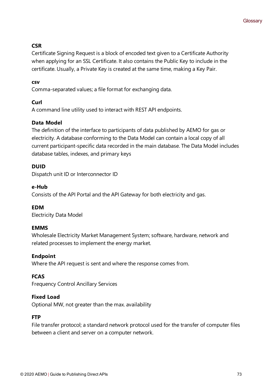## **CSR**

Certificate Signing Request is a block of encoded text given to a Certificate Authority when applying for an SSL Certificate. It also contains the Public Key to include in the certificate. Usually, a Private Key is created at the same time, making a Key Pair.

## **csv**

Comma-separated values; a file format for exchanging data.

## **Curl**

A command line utility used to interact with REST API endpoints.

## **Data Model**

The definition of the interface to participants of data published by AEMO for gas or electricity. A database conforming to the Data Model can contain a local copy of all current participant-specific data recorded in the main database. The Data Model includes database tables, indexes, and primary keys

## **DUID**

Dispatch unit ID or Interconnector ID

## **e-Hub**

Consists of the API Portal and the API Gateway for both electricity and gas.

## **EDM**

Electricity Data Model

## **EMMS**

Wholesale Electricity Market Management System; software, hardware, network and related processes to implement the energy market.

## **Endpoint**

Where the API request is sent and where the response comes from.

## **FCAS**

Frequency Control Ancillary Services

## **Fixed Load**

Optional MW, not greater than the max. availability

## **FTP**

File transfer protocol; a standard network protocol used for the transfer of computer files between a client and server on a computer network.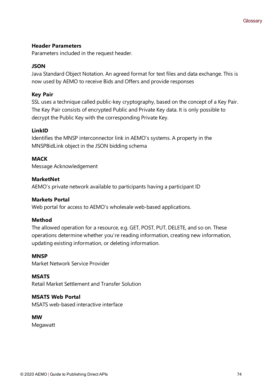#### **Header Parameters**

Parameters included in the request header.

#### **JSON**

Java Standard Object Notation. An agreed format for text files and data exchange. This is now used by AEMO to receive Bids and Offers and provide responses

#### **Key Pair**

SSL uses a technique called public-key cryptography, based on the concept of a Key Pair. The Key Pair consists of encrypted Public and Private Key data. It is only possible to decrypt the Public Key with the corresponding Private Key.

#### **LinkID**

Identifies the MNSP interconnector link in AEMO's systems. A property in the MNSPBidLink object in the JSON bidding schema

#### **MACK**

Message Acknowledgement

#### **MarketNet**

AEMO's private network available to participants having a participant ID

#### **Markets Portal**

Web portal for access to AEMO's wholesale web-based applications.

#### **Method**

The allowed operation for a resource, e.g. GET, POST, PUT, DELETE, and so on. These operations determine whether you're reading information, creating new information, updating existing information, or deleting information.

#### **MNSP**

Market Network Service Provider

#### **MSATS**

Retail Market Settlement and Transfer Solution

#### **MSATS Web Portal**

MSATS web-based interactive interface

#### **MW**

Megawatt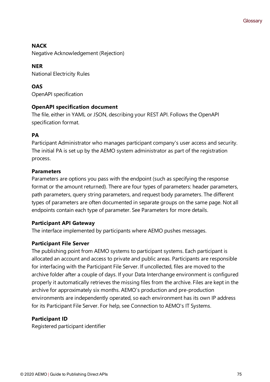## **NACK**

Negative Acknowledgement (Rejection)

## **NER**

National Electricity Rules

**OAS** OpenAPI specification

## **OpenAPI specification document**

The file, either in YAML or JSON, describing your REST API. Follows the OpenAPI specification format.

## **PA**

Participant Administrator who manages participant company's user access and security. The initial PA is set up by the AEMO system administrator as part of the registration process.

## **Parameters**

Parameters are options you pass with the endpoint (such as specifying the response format or the amount returned). There are four types of parameters: header parameters, path parameters, query string parameters, and request body parameters. The different types of parameters are often documented in separate groups on the same page. Not all endpoints contain each type of parameter. See Parameters for more details.

#### **Participant API Gateway**

The interface implemented by participants where AEMO pushes messages.

## **Participant File Server**

The publishing point from AEMO systems to participant systems. Each participant is allocated an account and access to private and public areas. Participants are responsible for interfacing with the Participant File Server. If uncollected, files are moved to the archive folder after a couple of days. If your Data Interchange environment is configured properly it automatically retrieves the missing files from the archive. Files are kept in the archive for approximately six months. AEMO's production and pre-production environments are independently operated, so each environment has its own IP address for its Participant File Server. For help, see Connection to AEMO's IT Systems.

#### **Participant ID**

Registered participant identifier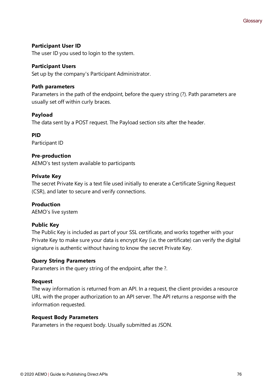#### **Participant User ID**

The user ID you used to login to the system.

#### **Participant Users**

Set up by the company's Participant Administrator.

#### **Path parameters**

Parameters in the path of the endpoint, before the query string (?). Path parameters are usually set off within curly braces.

#### **Payload**

The data sent by a POST request. The Payload section sits after the header.

**PID** Participant ID

#### **Pre-production**

AEMO's test system available to participants

#### **Private Key**

The secret Private Key is a text file used initially to enerate a Certificate Signing Request (CSR), and later to secure and verify connections.

#### **Production**

AEMO's live system

#### **Public Key**

The Public Key is included as part of your SSL certificate, and works together with your Private Key to make sure your data is encrypt Key (i.e. the certificate) can verify the digital signature is authentic without having to know the secret Private Key.

#### **Query String Parameters**

Parameters in the query string of the endpoint, after the ?.

#### **Request**

The way information is returned from an API. In a request, the client provides a resource URL with the proper authorization to an API server. The API returns a response with the information requested.

#### **Request Body Parameters**

Parameters in the request body. Usually submitted as JSON.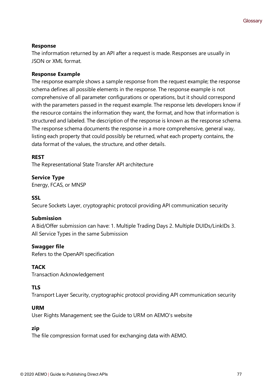#### **Response**

The information returned by an API after a request is made. Responses are usually in JSON or XML format.

#### **Response Example**

The response example shows a sample response from the request example; the response schema defines all possible elements in the response. The response example is not comprehensive of all parameter configurations or operations, but it should correspond with the parameters passed in the request example. The response lets developers know if the resource contains the information they want, the format, and how that information is structured and labeled. The description of the response is known as the response schema. The response schema documents the response in a more comprehensive, general way, listing each property that could possibly be returned, what each property contains, the data format of the values, the structure, and other details.

#### **REST**

The Representational State Transfer API architecture

#### **Service Type**

Energy, FCAS, or MNSP

#### **SSL**

Secure Sockets Layer, cryptographic protocol providing API communication security

#### **Submission**

A Bid/Offer submission can have: 1. Multiple Trading Days 2. Multiple DUIDs/LinkIDs 3. All Service Types in the same Submission

#### **Swagger file**

Refers to the OpenAPI specification

#### **TACK**

Transaction Acknowledgement

#### **TLS**

Transport Layer Security, cryptographic protocol providing API communication security

#### **URM**

User Rights Management; see the Guide to URM on AEMO's website

#### **zip**

The file compression format used for exchanging data with AEMO.